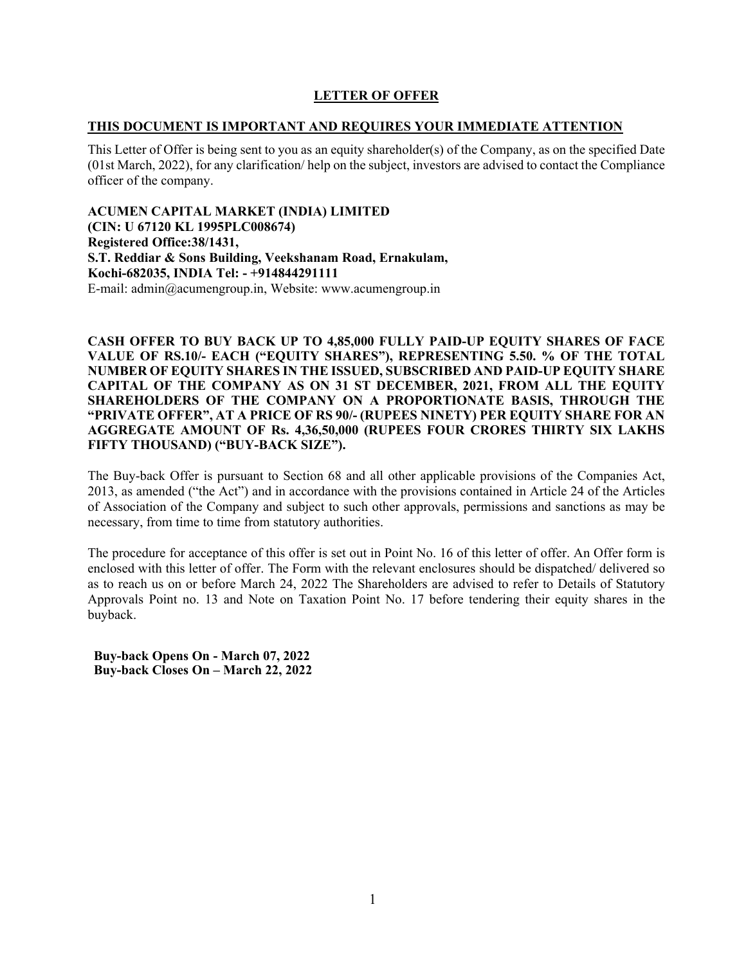# **LETTER OF OFFER**

# **THIS DOCUMENT IS IMPORTANT AND REQUIRES YOUR IMMEDIATE ATTENTION**

This Letter of Offer is being sent to you as an equity shareholder(s) of the Company, as on the specified Date (01st March, 2022), for any clarification/ help on the subject, investors are advised to contact the Compliance officer of the company.

**ACUMEN CAPITAL MARKET (INDIA) LIMITED (CIN: U 67120 KL 1995PLC008674) Registered Office:38/1431, S.T. Reddiar & Sons Building, Veekshanam Road, Ernakulam, Kochi-682035, INDIA Tel: - +914844291111**  E-mail: admin@acumengroup.in, Website: www.acumengroup.in

**CASH OFFER TO BUY BACK UP TO 4,85,000 FULLY PAID-UP EQUITY SHARES OF FACE VALUE OF RS.10/- EACH ("EQUITY SHARES"), REPRESENTING 5.50. % OF THE TOTAL NUMBER OF EQUITY SHARES IN THE ISSUED, SUBSCRIBED AND PAID-UP EQUITY SHARE CAPITAL OF THE COMPANY AS ON 31 ST DECEMBER, 2021, FROM ALL THE EQUITY SHAREHOLDERS OF THE COMPANY ON A PROPORTIONATE BASIS, THROUGH THE "PRIVATE OFFER", AT A PRICE OF RS 90/- (RUPEES NINETY) PER EQUITY SHARE FOR AN AGGREGATE AMOUNT OF Rs. 4,36,50,000 (RUPEES FOUR CRORES THIRTY SIX LAKHS FIFTY THOUSAND) ("BUY-BACK SIZE").** 

The Buy-back Offer is pursuant to Section 68 and all other applicable provisions of the Companies Act, 2013, as amended ("the Act") and in accordance with the provisions contained in Article 24 of the Articles of Association of the Company and subject to such other approvals, permissions and sanctions as may be necessary, from time to time from statutory authorities.

The procedure for acceptance of this offer is set out in Point No. 16 of this letter of offer. An Offer form is enclosed with this letter of offer. The Form with the relevant enclosures should be dispatched/ delivered so as to reach us on or before March 24, 2022 The Shareholders are advised to refer to Details of Statutory Approvals Point no. 13 and Note on Taxation Point No. 17 before tendering their equity shares in the buyback.

**Buy-back Opens On - March 07, 2022 Buy-back Closes On – March 22, 2022**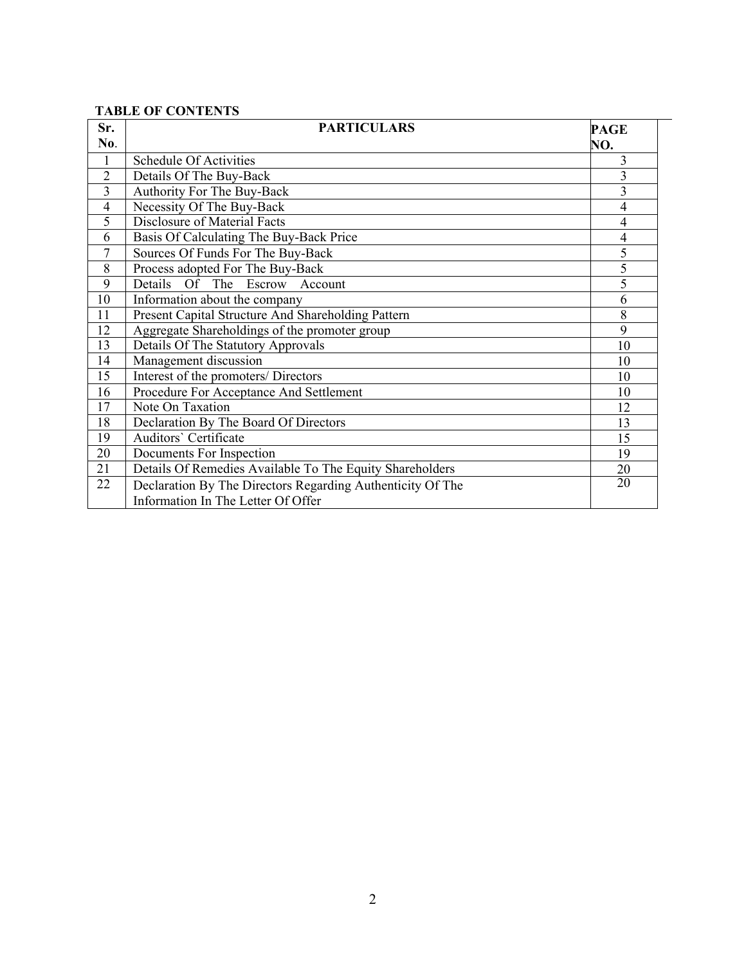# **TABLE OF CONTENTS**

| Sr.<br>No.     | <b>PARTICULARS</b>                                                                               | <b>PAGE</b><br>NO. |
|----------------|--------------------------------------------------------------------------------------------------|--------------------|
| $\mathbf{1}$   | Schedule Of Activities                                                                           | 3                  |
| $\overline{2}$ | Details Of The Buy-Back                                                                          | $\overline{3}$     |
| 3              | Authority For The Buy-Back                                                                       | 3                  |
| 4              | Necessity Of The Buy-Back                                                                        | 4                  |
| 5              | Disclosure of Material Facts                                                                     | $\overline{4}$     |
| 6              | Basis Of Calculating The Buy-Back Price                                                          | 4                  |
| $\overline{7}$ | Sources Of Funds For The Buy-Back                                                                | 5                  |
| 8              | Process adopted For The Buy-Back                                                                 | $\overline{5}$     |
| 9              | Details<br><b>Of</b><br>The Escrow Account                                                       | 5                  |
| 10             | Information about the company                                                                    | 6                  |
| 11             | Present Capital Structure And Shareholding Pattern                                               | 8                  |
| 12             | Aggregate Shareholdings of the promoter group                                                    | 9                  |
| 13             | Details Of The Statutory Approvals                                                               | 10                 |
| 14             | Management discussion                                                                            | 10                 |
| 15             | Interest of the promoters/ Directors                                                             | 10                 |
| 16             | Procedure For Acceptance And Settlement                                                          | 10                 |
| 17             | Note On Taxation                                                                                 | 12                 |
| 18             | Declaration By The Board Of Directors                                                            | 13                 |
| 19             | Auditors' Certificate                                                                            | 15                 |
| 20             | Documents For Inspection                                                                         | 19                 |
| 21             | Details Of Remedies Available To The Equity Shareholders                                         | 20                 |
| 22             | Declaration By The Directors Regarding Authenticity Of The<br>Information In The Letter Of Offer | 20                 |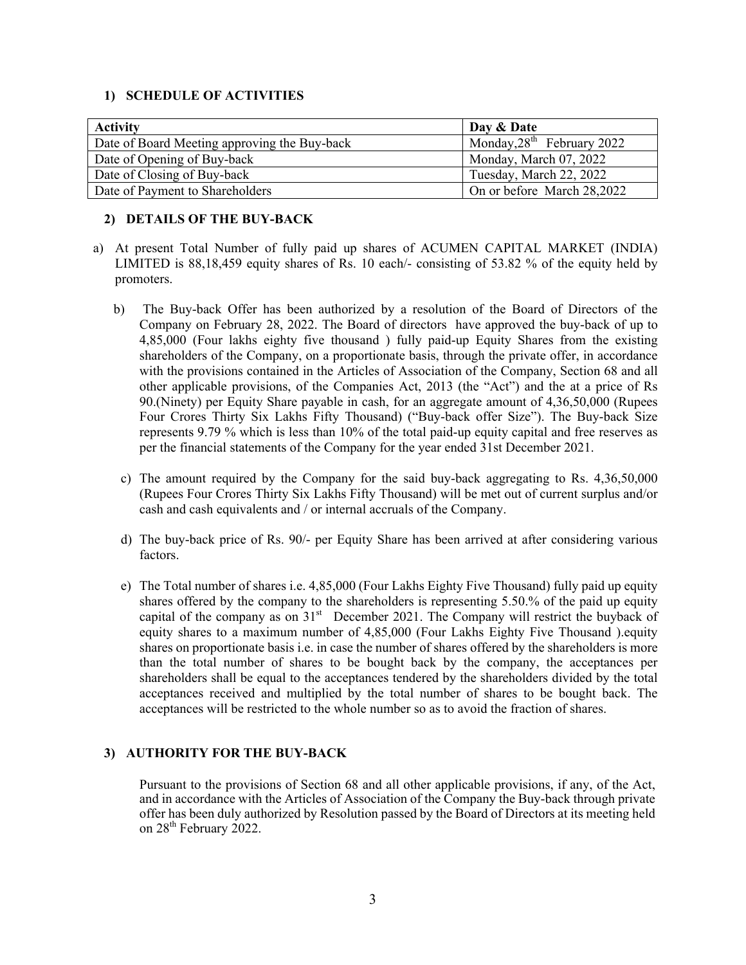# **1) SCHEDULE OF ACTIVITIES**

| <b>Activity</b>                              | Day & Date                   |
|----------------------------------------------|------------------------------|
| Date of Board Meeting approving the Buy-back | Monday, $28th$ February 2022 |
| Date of Opening of Buy-back                  | Monday, March 07, 2022       |
| Date of Closing of Buy-back                  | Tuesday, March 22, 2022      |
| Date of Payment to Shareholders              | On or before March 28,2022   |

# **2) DETAILS OF THE BUY-BACK**

- a) At present Total Number of fully paid up shares of ACUMEN CAPITAL MARKET (INDIA) LIMITED is 88,18,459 equity shares of Rs. 10 each/- consisting of 53.82 % of the equity held by promoters.
	- b) The Buy-back Offer has been authorized by a resolution of the Board of Directors of the Company on February 28, 2022. The Board of directors have approved the buy-back of up to 4,85,000 (Four lakhs eighty five thousand ) fully paid-up Equity Shares from the existing shareholders of the Company, on a proportionate basis, through the private offer, in accordance with the provisions contained in the Articles of Association of the Company, Section 68 and all other applicable provisions, of the Companies Act, 2013 (the "Act") and the at a price of Rs 90.(Ninety) per Equity Share payable in cash, for an aggregate amount of 4,36,50,000 (Rupees Four Crores Thirty Six Lakhs Fifty Thousand) ("Buy-back offer Size"). The Buy-back Size represents 9.79 % which is less than 10% of the total paid-up equity capital and free reserves as per the financial statements of the Company for the year ended 31st December 2021.
	- c) The amount required by the Company for the said buy-back aggregating to Rs. 4,36,50,000 (Rupees Four Crores Thirty Six Lakhs Fifty Thousand) will be met out of current surplus and/or cash and cash equivalents and / or internal accruals of the Company.
	- d) The buy-back price of Rs. 90/- per Equity Share has been arrived at after considering various factors.
	- e) The Total number of shares i.e. 4,85,000 (Four Lakhs Eighty Five Thousand) fully paid up equity shares offered by the company to the shareholders is representing 5.50.% of the paid up equity capital of the company as on 31<sup>st</sup> December 2021. The Company will restrict the buyback of equity shares to a maximum number of 4,85,000 (Four Lakhs Eighty Five Thousand ).equity shares on proportionate basis i.e. in case the number of shares offered by the shareholders is more than the total number of shares to be bought back by the company, the acceptances per shareholders shall be equal to the acceptances tendered by the shareholders divided by the total acceptances received and multiplied by the total number of shares to be bought back. The acceptances will be restricted to the whole number so as to avoid the fraction of shares.

# **3) AUTHORITY FOR THE BUY-BACK**

Pursuant to the provisions of Section 68 and all other applicable provisions, if any, of the Act, and in accordance with the Articles of Association of the Company the Buy-back through private offer has been duly authorized by Resolution passed by the Board of Directors at its meeting held on 28<sup>th</sup> February 2022.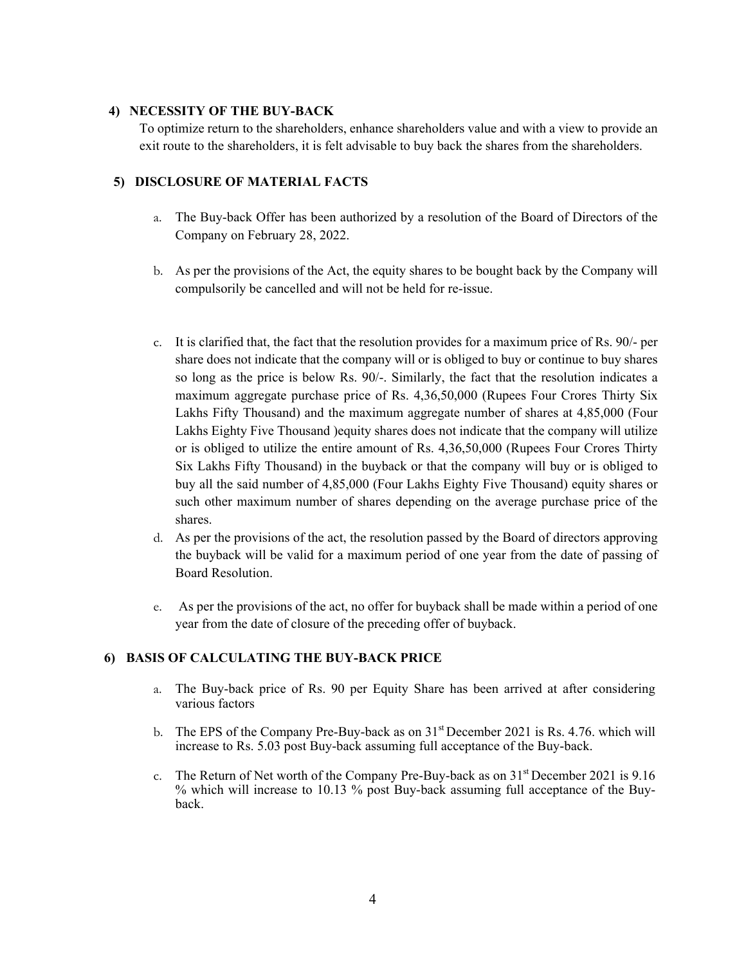# **4) NECESSITY OF THE BUY-BACK**

To optimize return to the shareholders, enhance shareholders value and with a view to provide an exit route to the shareholders, it is felt advisable to buy back the shares from the shareholders.

# **5) DISCLOSURE OF MATERIAL FACTS**

- a. The Buy-back Offer has been authorized by a resolution of the Board of Directors of the Company on February 28, 2022.
- b. As per the provisions of the Act, the equity shares to be bought back by the Company will compulsorily be cancelled and will not be held for re-issue.
- c. It is clarified that, the fact that the resolution provides for a maximum price of Rs. 90/- per share does not indicate that the company will or is obliged to buy or continue to buy shares so long as the price is below Rs. 90/-. Similarly, the fact that the resolution indicates a maximum aggregate purchase price of Rs. 4,36,50,000 (Rupees Four Crores Thirty Six Lakhs Fifty Thousand) and the maximum aggregate number of shares at 4,85,000 (Four Lakhs Eighty Five Thousand )equity shares does not indicate that the company will utilize or is obliged to utilize the entire amount of Rs. 4,36,50,000 (Rupees Four Crores Thirty Six Lakhs Fifty Thousand) in the buyback or that the company will buy or is obliged to buy all the said number of 4,85,000 (Four Lakhs Eighty Five Thousand) equity shares or such other maximum number of shares depending on the average purchase price of the shares.
- d. As per the provisions of the act, the resolution passed by the Board of directors approving the buyback will be valid for a maximum period of one year from the date of passing of Board Resolution.
- e. As per the provisions of the act, no offer for buyback shall be made within a period of one year from the date of closure of the preceding offer of buyback.

# **6) BASIS OF CALCULATING THE BUY-BACK PRICE**

- a. The Buy-back price of Rs. 90 per Equity Share has been arrived at after considering various factors
- b. The EPS of the Company Pre-Buy-back as on  $31<sup>st</sup>$  December 2021 is Rs. 4.76. which will increase to Rs. 5.03 post Buy-back assuming full acceptance of the Buy-back.
- c. The Return of Net worth of the Company Pre-Buy-back as on  $31<sup>st</sup>$  December 2021 is 9.16 % which will increase to 10.13 % post Buy-back assuming full acceptance of the Buyback.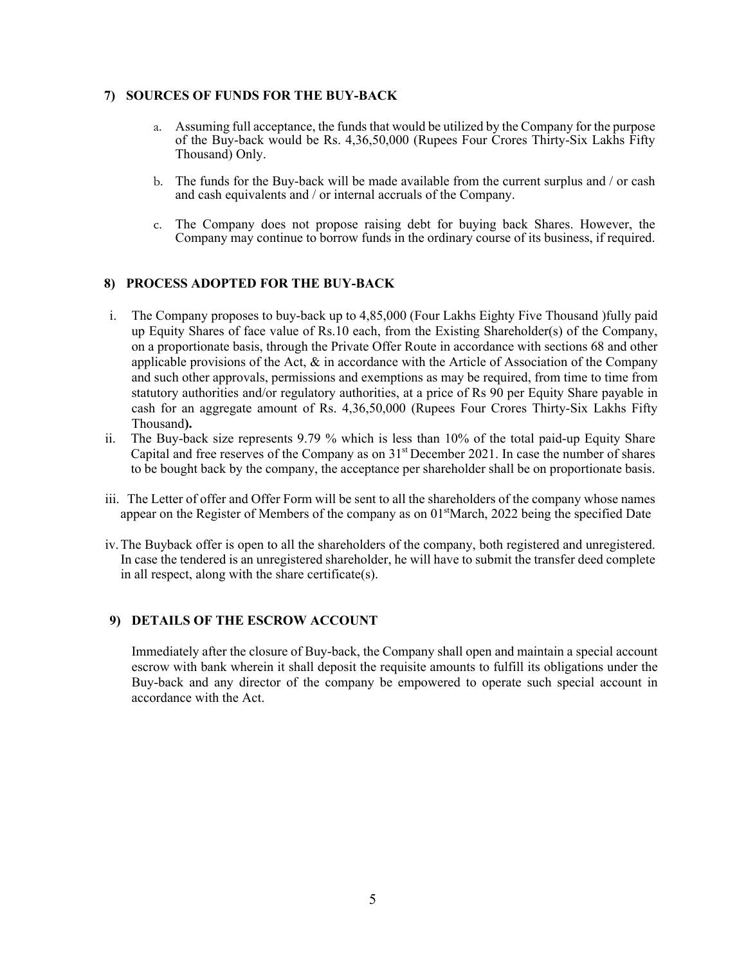# **7) SOURCES OF FUNDS FOR THE BUY-BACK**

- a. Assuming full acceptance, the funds that would be utilized by the Company for the purpose of the Buy-back would be Rs. 4,36,50,000 (Rupees Four Crores Thirty-Six Lakhs Fifty Thousand) Only.
- b. The funds for the Buy-back will be made available from the current surplus and / or cash and cash equivalents and / or internal accruals of the Company.
- c. The Company does not propose raising debt for buying back Shares. However, the Company may continue to borrow funds in the ordinary course of its business, if required.

# **8) PROCESS ADOPTED FOR THE BUY-BACK**

- i. The Company proposes to buy-back up to 4,85,000 (Four Lakhs Eighty Five Thousand )fully paid up Equity Shares of face value of Rs.10 each, from the Existing Shareholder(s) of the Company, on a proportionate basis, through the Private Offer Route in accordance with sections 68 and other applicable provisions of the Act, & in accordance with the Article of Association of the Company and such other approvals, permissions and exemptions as may be required, from time to time from statutory authorities and/or regulatory authorities, at a price of Rs 90 per Equity Share payable in cash for an aggregate amount of Rs. 4,36,50,000 (Rupees Four Crores Thirty-Six Lakhs Fifty Thousand**).**
- ii. The Buy-back size represents 9.79 % which is less than 10% of the total paid-up Equity Share Capital and free reserves of the Company as on  $31<sup>st</sup>$  December 2021. In case the number of shares to be bought back by the company, the acceptance per shareholder shall be on proportionate basis.
- iii. The Letter of offer and Offer Form will be sent to all the shareholders of the company whose names appear on the Register of Members of the company as on  $01<sup>st</sup>$ March, 2022 being the specified Date
- iv.The Buyback offer is open to all the shareholders of the company, both registered and unregistered. In case the tendered is an unregistered shareholder, he will have to submit the transfer deed complete in all respect, along with the share certificate(s).

# **9) DETAILS OF THE ESCROW ACCOUNT**

Immediately after the closure of Buy-back, the Company shall open and maintain a special account escrow with bank wherein it shall deposit the requisite amounts to fulfill its obligations under the Buy-back and any director of the company be empowered to operate such special account in accordance with the Act.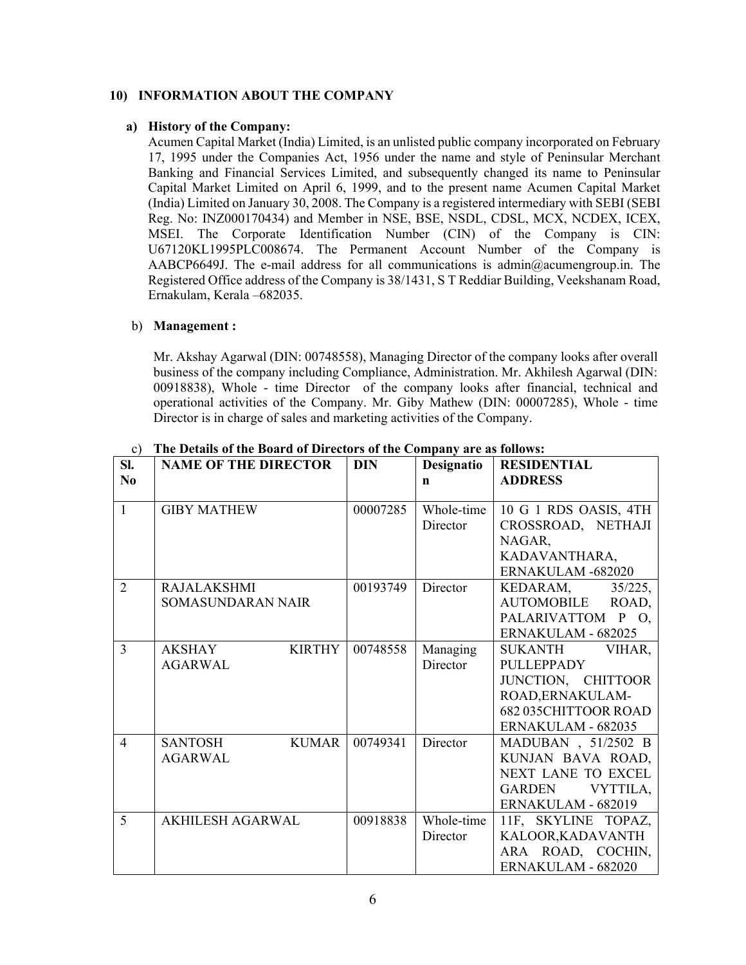# **10) INFORMATION ABOUT THE COMPANY**

# **a) History of the Company:**

Acumen Capital Market (India) Limited, is an unlisted public company incorporated on February 17, 1995 under the Companies Act, 1956 under the name and style of Peninsular Merchant Banking and Financial Services Limited, and subsequently changed its name to Peninsular Capital Market Limited on April 6, 1999, and to the present name Acumen Capital Market (India) Limited on January 30, 2008. The Company is a registered intermediary with SEBI (SEBI Reg. No: INZ000170434) and Member in NSE, BSE, NSDL, CDSL, MCX, NCDEX, ICEX, MSEI. The Corporate Identification Number (CIN) of the Company is CIN: U67120KL1995PLC008674. The Permanent Account Number of the Company is AABCP6649J. The e-mail address for all communications is admin@acumengroup.in. The Registered Office address of the Company is 38/1431, S T Reddiar Building, Veekshanam Road, Ernakulam, Kerala –682035.

# b) **Management :**

Mr. Akshay Agarwal (DIN: 00748558), Managing Director of the company looks after overall business of the company including Compliance, Administration. Mr. Akhilesh Agarwal (DIN: 00918838), Whole - time Director of the company looks after financial, technical and operational activities of the Company. Mr. Giby Mathew (DIN: 00007285), Whole - time Director is in charge of sales and marketing activities of the Company.

| C)             | The Details of the Board of Directors of the Company are as follows: |            |             |                       |
|----------------|----------------------------------------------------------------------|------------|-------------|-----------------------|
| SI.            | <b>NAME OF THE DIRECTOR</b>                                          | <b>DIN</b> | Designatio  | <b>RESIDENTIAL</b>    |
| N <sub>0</sub> |                                                                      |            | $\mathbf n$ | <b>ADDRESS</b>        |
|                |                                                                      |            |             |                       |
| $\mathbf{1}$   | <b>GIBY MATHEW</b>                                                   | 00007285   | Whole-time  | 10 G 1 RDS OASIS, 4TH |
|                |                                                                      |            | Director    | CROSSROAD, NETHAJI    |
|                |                                                                      |            |             | NAGAR,                |
|                |                                                                      |            |             | KADAVANTHARA,         |
|                |                                                                      |            |             | ERNAKULAM -682020     |
| $\overline{2}$ | <b>RAJALAKSHMI</b>                                                   | 00193749   | Director    | KEDARAM,<br>35/225,   |
|                | SOMASUNDARAN NAIR                                                    |            |             | AUTOMOBILE ROAD,      |
|                |                                                                      |            |             | PALARIVATTOM P O,     |
|                |                                                                      |            |             | ERNAKULAM - 682025    |
| 3              | AKSHAY<br><b>KIRTHY</b>                                              | 00748558   | Managing    | SUKANTH<br>VIHAR,     |
|                | <b>AGARWAL</b>                                                       |            | Director    | <b>PULLEPPADY</b>     |
|                |                                                                      |            |             | JUNCTION, CHITTOOR    |
|                |                                                                      |            |             | ROAD, ERNAKULAM-      |
|                |                                                                      |            |             | 682 035CHITTOOR ROAD  |
|                |                                                                      |            |             | ERNAKULAM - 682035    |
| $\overline{4}$ | <b>SANTOSH</b><br><b>KUMAR</b>                                       | 00749341   | Director    | MADUBAN, 51/2502 B    |
|                | <b>AGARWAL</b>                                                       |            |             | KUNJAN BAVA ROAD,     |
|                |                                                                      |            |             | NEXT LANE TO EXCEL    |
|                |                                                                      |            |             | VYTTILA,<br>GARDEN    |
|                |                                                                      |            |             | ERNAKULAM - 682019    |
| 5              | <b>AKHILESH AGARWAL</b>                                              | 00918838   | Whole-time  | 11F, SKYLINE TOPAZ,   |
|                |                                                                      |            | Director    | KALOOR, KADAVANTH     |
|                |                                                                      |            |             | ARA ROAD, COCHIN,     |
|                |                                                                      |            |             | ERNAKULAM - 682020    |

c) **The Details of the Board of Directors of the Company are as follows:**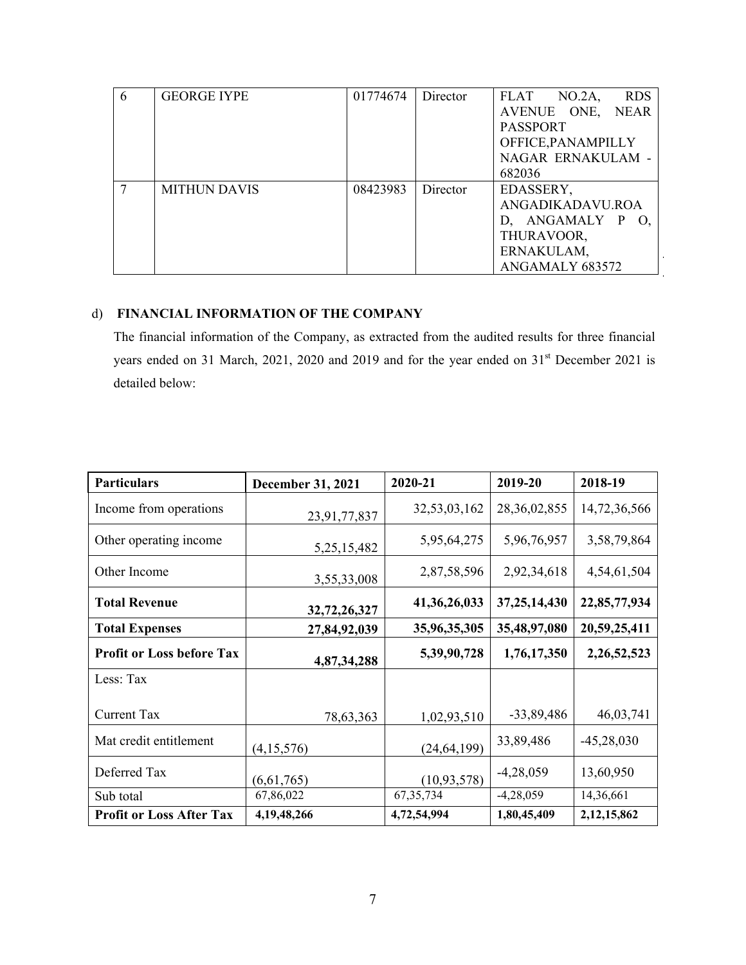| 6 | <b>GEORGE IYPE</b>  | 01774674 | Director | <b>RDS</b><br><b>FLAT</b><br>NO.2A |
|---|---------------------|----------|----------|------------------------------------|
|   |                     |          |          | AVENUE ONE, NEAR                   |
|   |                     |          |          | <b>PASSPORT</b>                    |
|   |                     |          |          | OFFICE, PANAMPILLY                 |
|   |                     |          |          | NAGAR ERNAKULAM -                  |
|   |                     |          |          | 682036                             |
|   | <b>MITHUN DAVIS</b> | 08423983 | Director | EDASSERY,                          |
|   |                     |          |          | ANGADIKADAVU.ROA                   |
|   |                     |          |          | D, ANGAMALY P<br>O.                |
|   |                     |          |          | THURAVOOR,                         |
|   |                     |          |          | ERNAKULAM,                         |
|   |                     |          |          | ANGAMALY 683572                    |

# d) **FINANCIAL INFORMATION OF THE COMPANY**

The financial information of the Company, as extracted from the audited results for three financial years ended on 31 March, 2021, 2020 and 2019 and for the year ended on 31<sup>st</sup> December 2021 is detailed below:

| <b>Particulars</b>               | <b>December 31, 2021</b> | 2020-21         | 2019-20         | 2018-19        |
|----------------------------------|--------------------------|-----------------|-----------------|----------------|
| Income from operations           | 23,91,77,837             | 32,53,03,162    | 28, 36, 02, 855 | 14,72,36,566   |
| Other operating income           | 5, 25, 15, 482           | 5,95,64,275     | 5,96,76,957     | 3,58,79,864    |
| Other Income                     | 3,55,33,008              | 2,87,58,596     | 2,92,34,618     | 4,54,61,504    |
| <b>Total Revenue</b>             | 32,72,26,327             | 41, 36, 26, 033 | 37, 25, 14, 430 | 22,85,77,934   |
| <b>Total Expenses</b>            | 27,84,92,039             | 35,96,35,305    | 35,48,97,080    | 20,59,25,411   |
| <b>Profit or Loss before Tax</b> | 4,87,34,288              | 5,39,90,728     | 1,76,17,350     | 2,26,52,523    |
| Less: Tax                        |                          |                 |                 |                |
| <b>Current Tax</b>               | 78,63,363                | 1,02,93,510     | $-33,89,486$    | 46,03,741      |
| Mat credit entitlement           | (4,15,576)               | (24, 64, 199)   | 33,89,486       | $-45,28,030$   |
| Deferred Tax                     | (6,61,765)               | (10, 93, 578)   | $-4,28,059$     | 13,60,950      |
| Sub total                        | 67,86,022                | 67, 35, 734     | $-4,28,059$     | 14,36,661      |
| <b>Profit or Loss After Tax</b>  | 4, 19, 48, 266           | 4,72,54,994     | 1,80,45,409     | 2, 12, 15, 862 |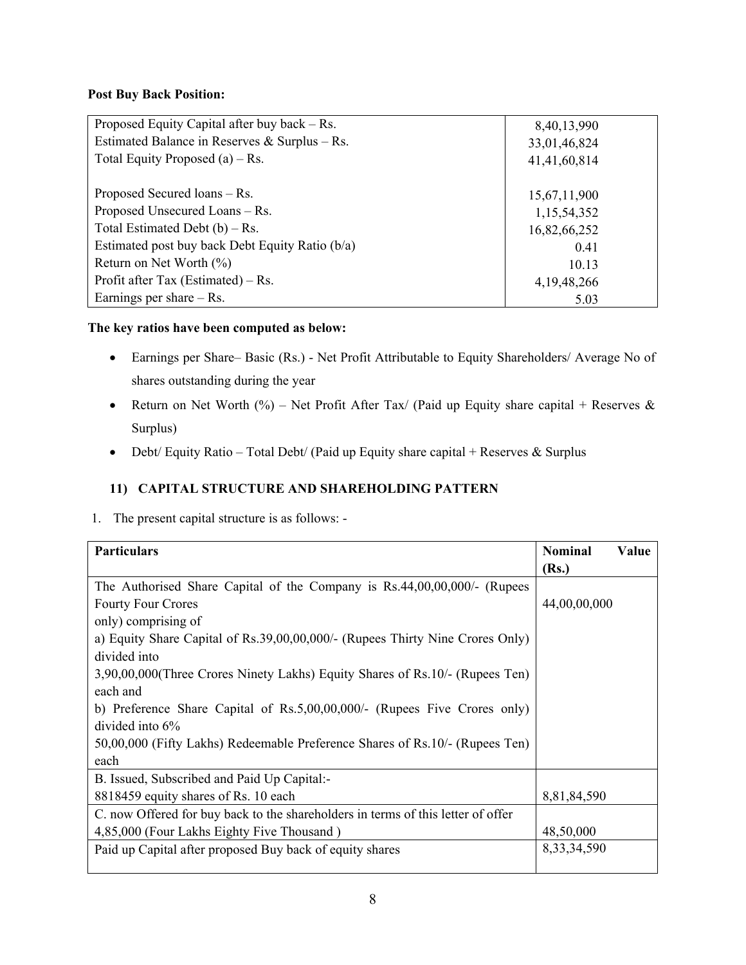# **Post Buy Back Position:**

| Proposed Equity Capital after buy back $-Rs$ .  | 8,40,13,990    |
|-------------------------------------------------|----------------|
| Estimated Balance in Reserves & Surplus – Rs.   | 33,01,46,824   |
| Total Equity Proposed $(a)$ – Rs.               | 41,41,60,814   |
|                                                 |                |
| Proposed Secured loans – Rs.                    | 15,67,11,900   |
| Proposed Unsecured Loans - Rs.                  | 1,15,54,352    |
| Total Estimated Debt $(b) - Rs$ .               | 16,82,66,252   |
| Estimated post buy back Debt Equity Ratio (b/a) | 0.41           |
| Return on Net Worth $(\% )$                     | 10.13          |
| Profit after Tax (Estimated) – Rs.              | 4, 19, 48, 266 |
| Earnings per share $-$ Rs.                      | 5.03           |

# **The key ratios have been computed as below:**

- Earnings per Share– Basic (Rs.) Net Profit Attributable to Equity Shareholders/ Average No of shares outstanding during the year
- Return on Net Worth (%) Net Profit After Tax/ (Paid up Equity share capital + Reserves & Surplus)
- Debt/ Equity Ratio Total Debt/ (Paid up Equity share capital + Reserves & Surplus

# **11) CAPITAL STRUCTURE AND SHAREHOLDING PATTERN**

1. The present capital structure is as follows: -

| <b>Particulars</b>                                                               | <b>Nominal</b> | Value |
|----------------------------------------------------------------------------------|----------------|-------|
|                                                                                  | (Rs.)          |       |
| The Authorised Share Capital of the Company is Rs.44,00,00,000/- (Rupees         |                |       |
| <b>Fourty Four Crores</b>                                                        | 44,00,00,000   |       |
| only) comprising of                                                              |                |       |
| a) Equity Share Capital of Rs.39,00,00,000/- (Rupees Thirty Nine Crores Only)    |                |       |
| divided into                                                                     |                |       |
| 3,90,00,000(Three Crores Ninety Lakhs) Equity Shares of Rs.10/- (Rupees Ten)     |                |       |
| each and                                                                         |                |       |
| b) Preference Share Capital of Rs.5,00,00,000/- (Rupees Five Crores only)        |                |       |
| divided into $6\%$                                                               |                |       |
| 50,00,000 (Fifty Lakhs) Redeemable Preference Shares of Rs.10/- (Rupees Ten)     |                |       |
| each                                                                             |                |       |
| B. Issued, Subscribed and Paid Up Capital:-                                      |                |       |
| 8818459 equity shares of Rs. 10 each                                             | 8,81,84,590    |       |
| C. now Offered for buy back to the shareholders in terms of this letter of offer |                |       |
| 4,85,000 (Four Lakhs Eighty Five Thousand)                                       | 48,50,000      |       |
| Paid up Capital after proposed Buy back of equity shares                         | 8, 33, 34, 590 |       |
|                                                                                  |                |       |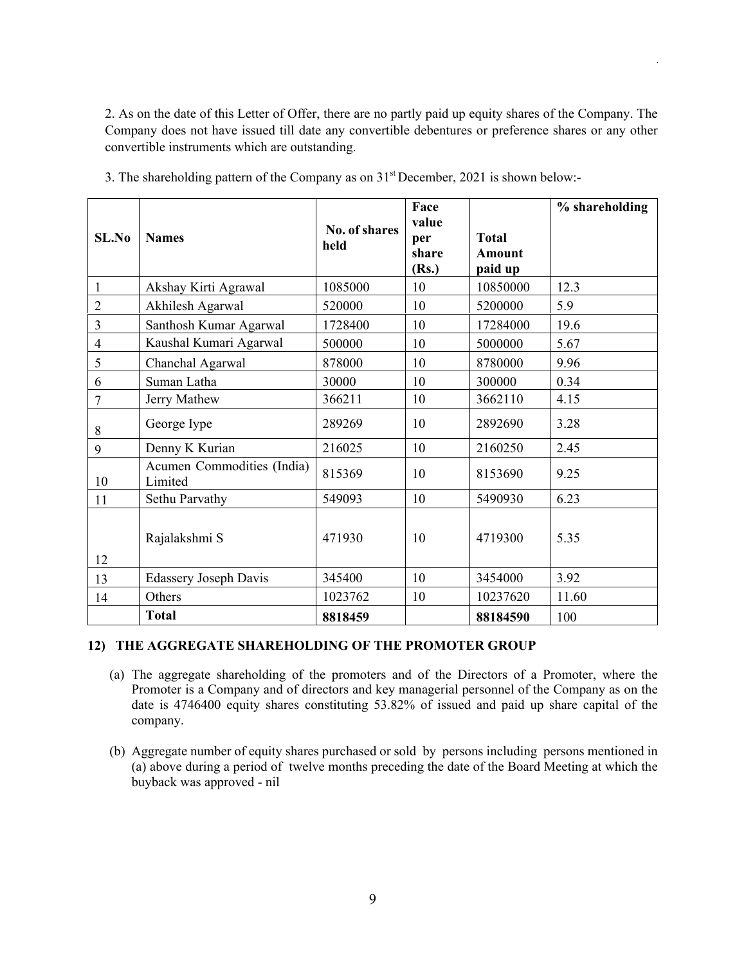2. As on the date of this Letter of Offer, there are no partly paid up equity shares of the Company. The Company does not have issued till date any convertible debentures or preference shares or any other convertible instruments which are outstanding.

| SLNo           | <b>Names</b>                          | No. of shares<br>held | Face<br>value<br>per<br>share<br>(Rs.) | <b>Total</b><br>Amount<br>paid up | % shareholding |
|----------------|---------------------------------------|-----------------------|----------------------------------------|-----------------------------------|----------------|
| $\mathbf{1}$   | Akshay Kirti Agrawal                  | 1085000               | 10                                     | 10850000                          | 12.3           |
| $\overline{2}$ | Akhilesh Agarwal                      | 520000                | 10                                     | 5200000                           | 5.9            |
| $\overline{3}$ | Santhosh Kumar Agarwal                | 1728400               | 10                                     | 17284000                          | 19.6           |
| $\overline{4}$ | Kaushal Kumari Agarwal                | 500000                | 10                                     | 5000000                           | 5.67           |
| 5              | Chanchal Agarwal                      | 878000                | 10                                     | 8780000                           | 9.96           |
| 6              | Suman Latha                           | 30000                 | 10                                     | 300000                            | 0.34           |
| $\overline{7}$ | Jerry Mathew                          | 366211                | 10                                     | 3662110                           | 4.15           |
| 8              | George Iype                           | 289269                | 10                                     | 2892690                           | 3.28           |
| 9              | Denny K Kurian                        | 216025                | 10                                     | 2160250                           | 2.45           |
| 10             | Acumen Commodities (India)<br>Limited | 815369                | 10                                     | 8153690                           | 9.25           |
| 11             | Sethu Parvathy                        | 549093                | 10                                     | 5490930                           | 6.23           |
| 12             | Rajalakshmi S                         | 471930                | 10                                     | 4719300                           | 5.35           |
| 13             | <b>Edassery Joseph Davis</b>          | 345400                | 10                                     | 3454000                           | 3.92           |
| 14             | Others                                | 1023762               | 10                                     | 10237620                          | 11.60          |
|                | <b>Total</b>                          | 8818459               |                                        | 88184590                          | 100            |

3. The shareholding pattern of the Company as on 31st December, 2021 is shown below:-

# **12) THE AGGREGATE SHAREHOLDING OF THE PROMOTER GROUP**

- (a) The aggregate shareholding of the promoters and of the Directors of a Promoter, where the Promoter is a Company and of directors and key managerial personnel of the Company as on the date is 4746400 equity shares constituting 53.82% of issued and paid up share capital of the company.
- (b) Aggregate number of equity shares purchased or sold by persons including persons mentioned in (a) above during a period of twelve months preceding the date of the Board Meeting at which the buyback was approved - nil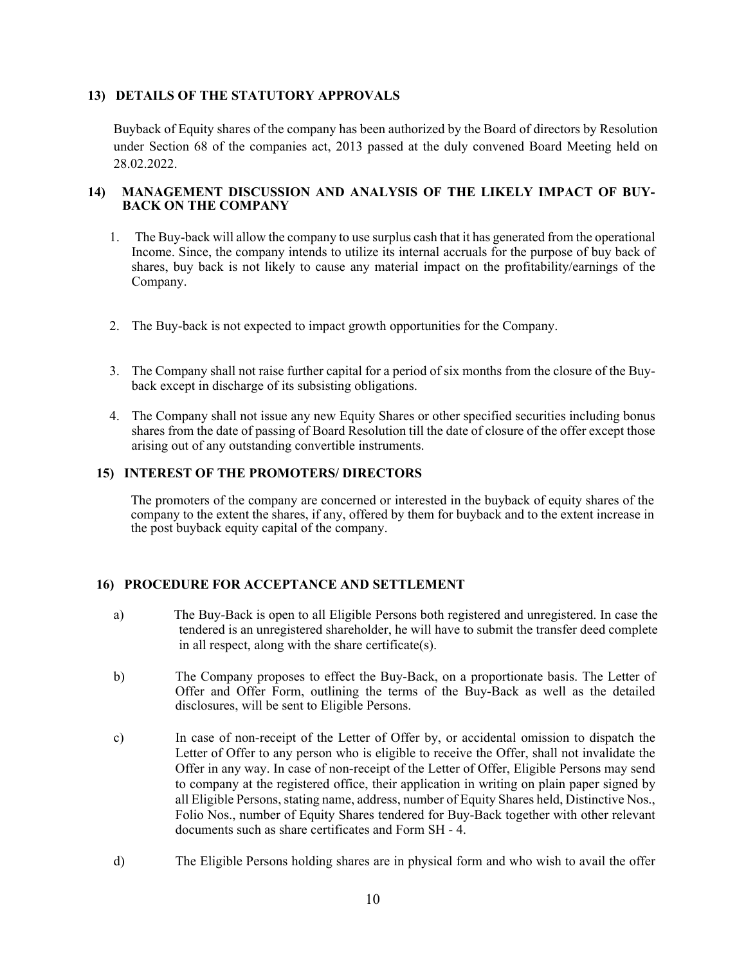# **13) DETAILS OF THE STATUTORY APPROVALS**

Buyback of Equity shares of the company has been authorized by the Board of directors by Resolution under Section 68 of the companies act, 2013 passed at the duly convened Board Meeting held on 28.02.2022.

# **14) MANAGEMENT DISCUSSION AND ANALYSIS OF THE LIKELY IMPACT OF BUY-BACK ON THE COMPANY**

- 1. The Buy-back will allow the company to use surplus cash that it has generated from the operational Income. Since, the company intends to utilize its internal accruals for the purpose of buy back of shares, buy back is not likely to cause any material impact on the profitability/earnings of the Company.
- 2. The Buy-back is not expected to impact growth opportunities for the Company.
- 3. The Company shall not raise further capital for a period of six months from the closure of the Buyback except in discharge of its subsisting obligations.
- 4. The Company shall not issue any new Equity Shares or other specified securities including bonus shares from the date of passing of Board Resolution till the date of closure of the offer except those arising out of any outstanding convertible instruments.

# **15) INTEREST OF THE PROMOTERS/ DIRECTORS**

The promoters of the company are concerned or interested in the buyback of equity shares of the company to the extent the shares, if any, offered by them for buyback and to the extent increase in the post buyback equity capital of the company.

# **16) PROCEDURE FOR ACCEPTANCE AND SETTLEMENT**

- a) The Buy-Back is open to all Eligible Persons both registered and unregistered. In case the tendered is an unregistered shareholder, he will have to submit the transfer deed complete in all respect, along with the share certificate(s).
- b) The Company proposes to effect the Buy-Back, on a proportionate basis. The Letter of Offer and Offer Form, outlining the terms of the Buy-Back as well as the detailed disclosures, will be sent to Eligible Persons.
- c) In case of non-receipt of the Letter of Offer by, or accidental omission to dispatch the Letter of Offer to any person who is eligible to receive the Offer, shall not invalidate the Offer in any way. In case of non-receipt of the Letter of Offer, Eligible Persons may send to company at the registered office, their application in writing on plain paper signed by all Eligible Persons, stating name, address, number of Equity Shares held, Distinctive Nos., Folio Nos., number of Equity Shares tendered for Buy-Back together with other relevant documents such as share certificates and Form SH - 4.
- d) The Eligible Persons holding shares are in physical form and who wish to avail the offer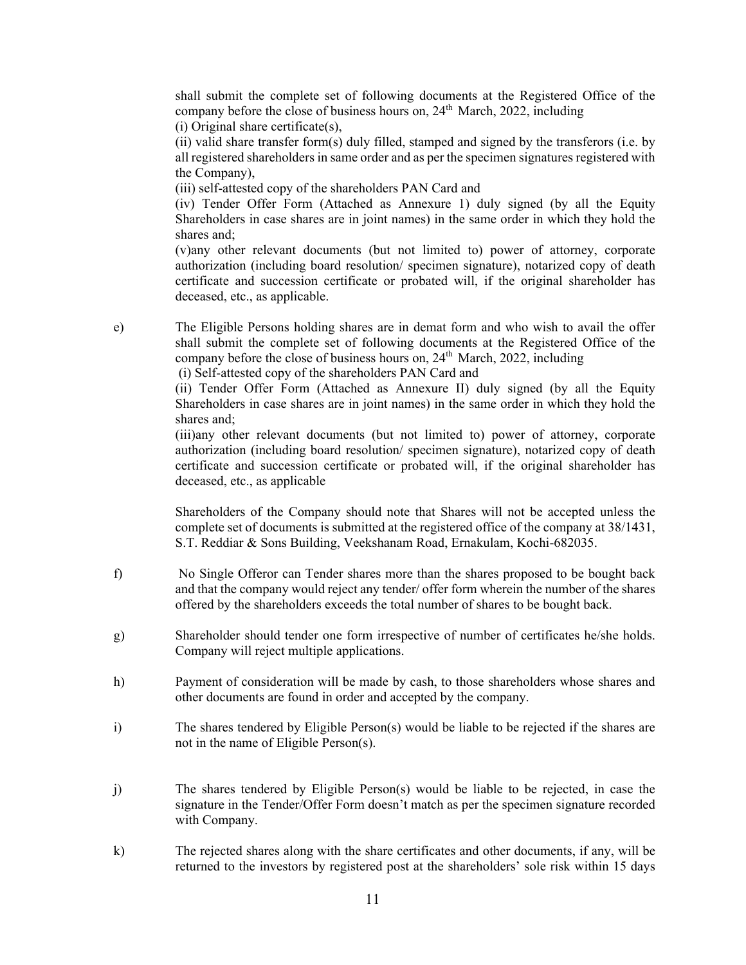shall submit the complete set of following documents at the Registered Office of the company before the close of business hours on,  $24<sup>th</sup>$  March, 2022, including (i) Original share certificate(s),

(ii) valid share transfer form(s) duly filled, stamped and signed by the transferors (i.e. by all registered shareholders in same order and as per the specimen signatures registered with the Company),

(iii) self-attested copy of the shareholders PAN Card and

(iv) Tender Offer Form (Attached as Annexure 1) duly signed (by all the Equity Shareholders in case shares are in joint names) in the same order in which they hold the shares and;

(v)any other relevant documents (but not limited to) power of attorney, corporate authorization (including board resolution/ specimen signature), notarized copy of death certificate and succession certificate or probated will, if the original shareholder has deceased, etc., as applicable.

e) The Eligible Persons holding shares are in demat form and who wish to avail the offer shall submit the complete set of following documents at the Registered Office of the company before the close of business hours on,  $24<sup>th</sup>$  March, 2022, including

(i) Self-attested copy of the shareholders PAN Card and

(ii) Tender Offer Form (Attached as Annexure II) duly signed (by all the Equity Shareholders in case shares are in joint names) in the same order in which they hold the shares and;

(iii)any other relevant documents (but not limited to) power of attorney, corporate authorization (including board resolution/ specimen signature), notarized copy of death certificate and succession certificate or probated will, if the original shareholder has deceased, etc., as applicable

Shareholders of the Company should note that Shares will not be accepted unless the complete set of documents is submitted at the registered office of the company at 38/1431, S.T. Reddiar & Sons Building, Veekshanam Road, Ernakulam, Kochi-682035.

- f) No Single Offeror can Tender shares more than the shares proposed to be bought back and that the company would reject any tender/ offer form wherein the number of the shares offered by the shareholders exceeds the total number of shares to be bought back.
- g) Shareholder should tender one form irrespective of number of certificates he/she holds. Company will reject multiple applications.
- h) Payment of consideration will be made by cash, to those shareholders whose shares and other documents are found in order and accepted by the company.
- i) The shares tendered by Eligible Person(s) would be liable to be rejected if the shares are not in the name of Eligible Person(s).
- j) The shares tendered by Eligible Person(s) would be liable to be rejected, in case the signature in the Tender/Offer Form doesn't match as per the specimen signature recorded with Company.
- k) The rejected shares along with the share certificates and other documents, if any, will be returned to the investors by registered post at the shareholders' sole risk within 15 days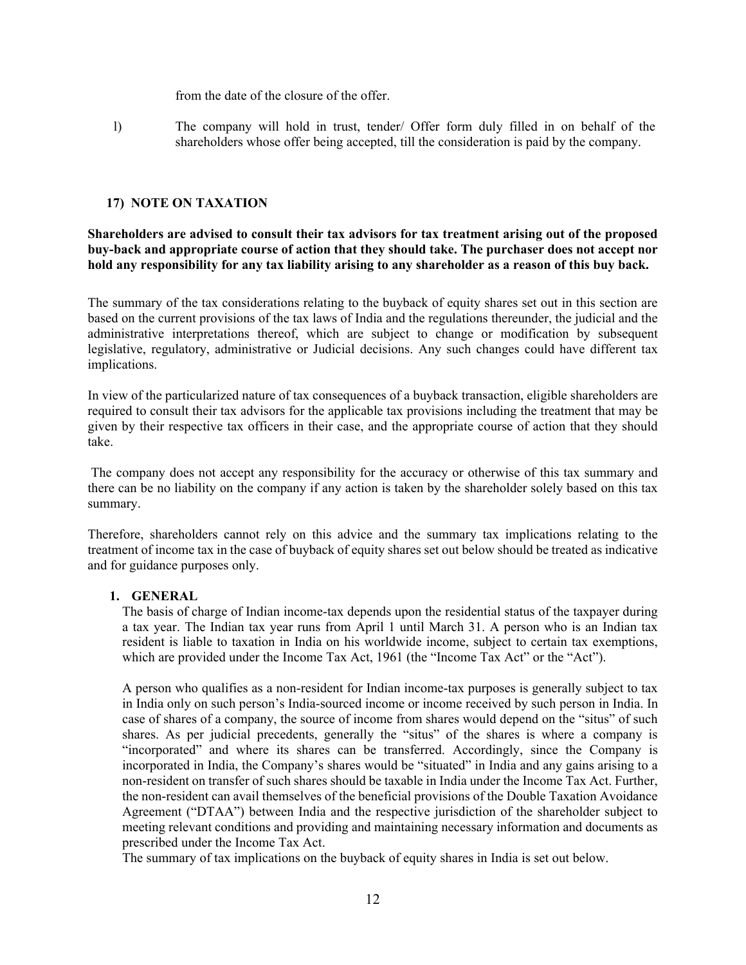from the date of the closure of the offer.

l) The company will hold in trust, tender/ Offer form duly filled in on behalf of the shareholders whose offer being accepted, till the consideration is paid by the company.

# **17) NOTE ON TAXATION**

**Shareholders are advised to consult their tax advisors for tax treatment arising out of the proposed buy-back and appropriate course of action that they should take. The purchaser does not accept nor hold any responsibility for any tax liability arising to any shareholder as a reason of this buy back.** 

The summary of the tax considerations relating to the buyback of equity shares set out in this section are based on the current provisions of the tax laws of India and the regulations thereunder, the judicial and the administrative interpretations thereof, which are subject to change or modification by subsequent legislative, regulatory, administrative or Judicial decisions. Any such changes could have different tax implications.

In view of the particularized nature of tax consequences of a buyback transaction, eligible shareholders are required to consult their tax advisors for the applicable tax provisions including the treatment that may be given by their respective tax officers in their case, and the appropriate course of action that they should take.

 The company does not accept any responsibility for the accuracy or otherwise of this tax summary and there can be no liability on the company if any action is taken by the shareholder solely based on this tax summary.

Therefore, shareholders cannot rely on this advice and the summary tax implications relating to the treatment of income tax in the case of buyback of equity shares set out below should be treated as indicative and for guidance purposes only.

# **1. GENERAL**

The basis of charge of Indian income-tax depends upon the residential status of the taxpayer during a tax year. The Indian tax year runs from April 1 until March 31. A person who is an Indian tax resident is liable to taxation in India on his worldwide income, subject to certain tax exemptions, which are provided under the Income Tax Act, 1961 (the "Income Tax Act" or the "Act").

A person who qualifies as a non-resident for Indian income-tax purposes is generally subject to tax in India only on such person's India-sourced income or income received by such person in India. In case of shares of a company, the source of income from shares would depend on the "situs" of such shares. As per judicial precedents, generally the "situs" of the shares is where a company is "incorporated" and where its shares can be transferred. Accordingly, since the Company is incorporated in India, the Company's shares would be "situated" in India and any gains arising to a non-resident on transfer of such shares should be taxable in India under the Income Tax Act. Further, the non-resident can avail themselves of the beneficial provisions of the Double Taxation Avoidance Agreement ("DTAA") between India and the respective jurisdiction of the shareholder subject to meeting relevant conditions and providing and maintaining necessary information and documents as prescribed under the Income Tax Act.

The summary of tax implications on the buyback of equity shares in India is set out below.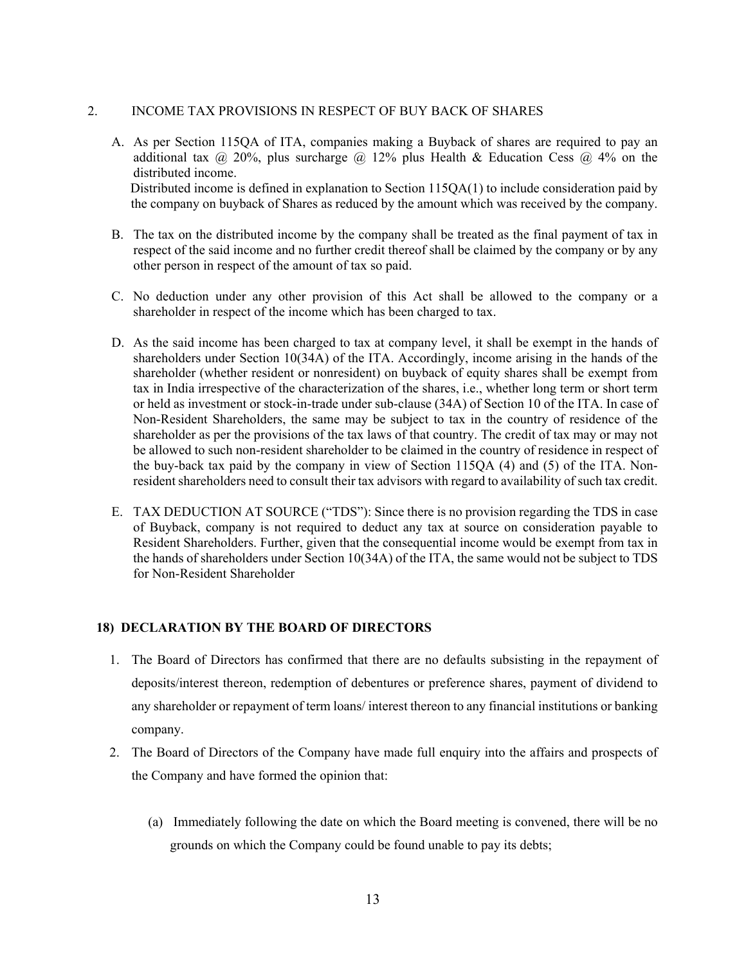# 2. INCOME TAX PROVISIONS IN RESPECT OF BUY BACK OF SHARES

- A. As per Section 115QA of ITA, companies making a Buyback of shares are required to pay an additional tax  $\omega$  20%, plus surcharge  $\omega$  12% plus Health & Education Cess  $\omega$  4% on the distributed income. Distributed income is defined in explanation to Section 115QA(1) to include consideration paid by the company on buyback of Shares as reduced by the amount which was received by the company.
- B. The tax on the distributed income by the company shall be treated as the final payment of tax in respect of the said income and no further credit thereof shall be claimed by the company or by any other person in respect of the amount of tax so paid.
- C. No deduction under any other provision of this Act shall be allowed to the company or a shareholder in respect of the income which has been charged to tax.
- D. As the said income has been charged to tax at company level, it shall be exempt in the hands of shareholders under Section 10(34A) of the ITA. Accordingly, income arising in the hands of the shareholder (whether resident or nonresident) on buyback of equity shares shall be exempt from tax in India irrespective of the characterization of the shares, i.e., whether long term or short term or held as investment or stock-in-trade under sub-clause (34A) of Section 10 of the ITA. In case of Non-Resident Shareholders, the same may be subject to tax in the country of residence of the shareholder as per the provisions of the tax laws of that country. The credit of tax may or may not be allowed to such non-resident shareholder to be claimed in the country of residence in respect of the buy-back tax paid by the company in view of Section 115QA (4) and (5) of the ITA. Nonresident shareholders need to consult their tax advisors with regard to availability of such tax credit.
- E. TAX DEDUCTION AT SOURCE ("TDS"): Since there is no provision regarding the TDS in case of Buyback, company is not required to deduct any tax at source on consideration payable to Resident Shareholders. Further, given that the consequential income would be exempt from tax in the hands of shareholders under Section 10(34A) of the ITA, the same would not be subject to TDS for Non-Resident Shareholder

# **18) DECLARATION BY THE BOARD OF DIRECTORS**

- 1. The Board of Directors has confirmed that there are no defaults subsisting in the repayment of deposits/interest thereon, redemption of debentures or preference shares, payment of dividend to any shareholder or repayment of term loans/ interest thereon to any financial institutions or banking company.
- 2. The Board of Directors of the Company have made full enquiry into the affairs and prospects of the Company and have formed the opinion that:
	- (a) Immediately following the date on which the Board meeting is convened, there will be no grounds on which the Company could be found unable to pay its debts;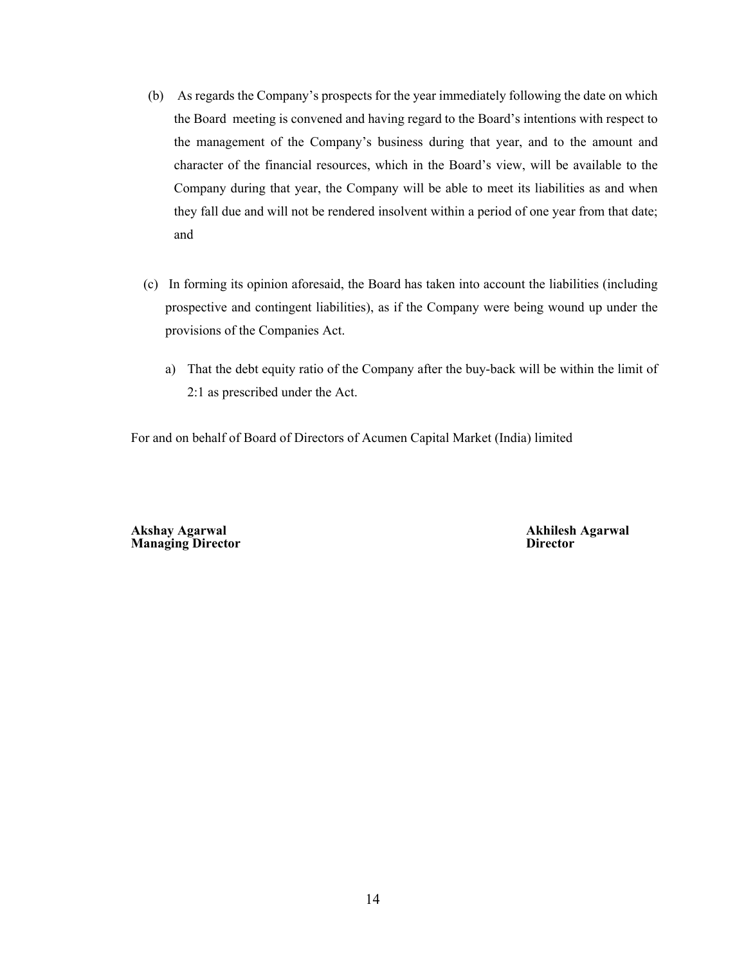- (b) As regards the Company's prospects for the year immediately following the date on which the Board meeting is convened and having regard to the Board's intentions with respect to the management of the Company's business during that year, and to the amount and character of the financial resources, which in the Board's view, will be available to the Company during that year, the Company will be able to meet its liabilities as and when they fall due and will not be rendered insolvent within a period of one year from that date; and
- (c) In forming its opinion aforesaid, the Board has taken into account the liabilities (including prospective and contingent liabilities), as if the Company were being wound up under the provisions of the Companies Act.
	- a) That the debt equity ratio of the Company after the buy-back will be within the limit of 2:1 as prescribed under the Act.

For and on behalf of Board of Directors of Acumen Capital Market (India) limited

**Akshay Agarwal Akhilesh Agarwal Managing Director**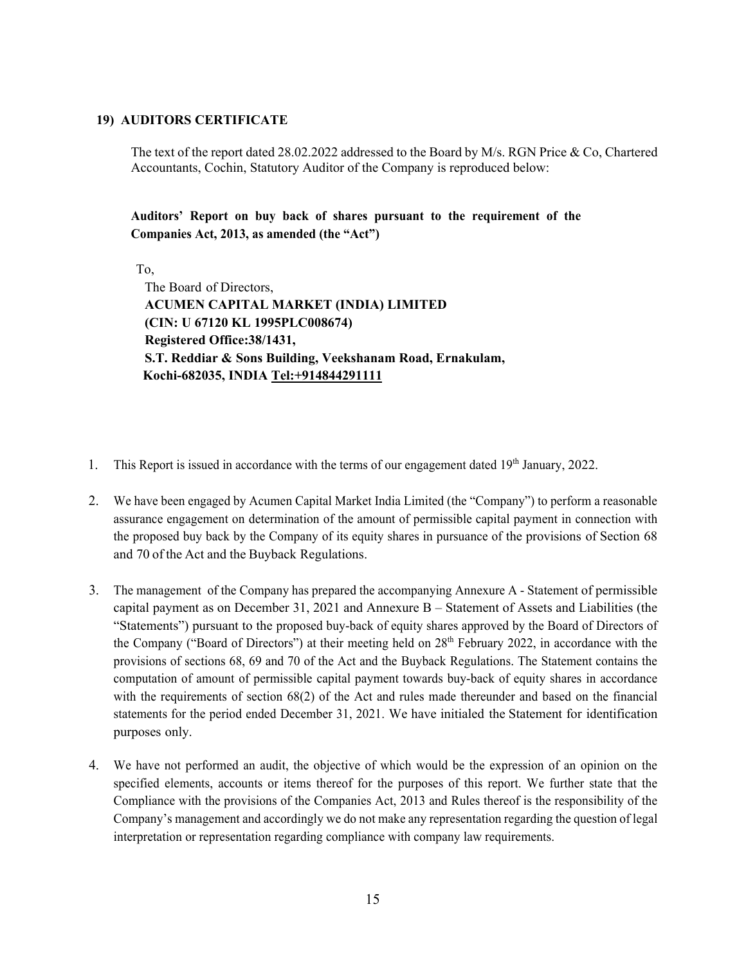# **19) AUDITORS CERTIFICATE**

The text of the report dated 28.02.2022 addressed to the Board by M/s. RGN Price & Co, Chartered Accountants, Cochin, Statutory Auditor of the Company is reproduced below:

**Auditors' Report on buy back of shares pursuant to the requirement of the Companies Act, 2013, as amended (the "Act")**

To,

The Board of Directors, **ACUMEN CAPITAL MARKET (INDIA) LIMITED (CIN: U 67120 KL 1995PLC008674) Registered Office:38/1431, S.T. Reddiar & Sons Building, Veekshanam Road, Ernakulam, Kochi-682035, INDIA Tel:+914844291111** 

- 1. This Report is issued in accordance with the terms of our engagement dated 19<sup>th</sup> January, 2022.
- 2. We have been engaged by Acumen Capital Market India Limited (the "Company") to perform a reasonable assurance engagement on determination of the amount of permissible capital payment in connection with the proposed buy back by the Company of its equity shares in pursuance of the provisions of Section 68 and 70 of the Act and the Buyback Regulations.
- 3. The management of the Company has prepared the accompanying Annexure A Statement of permissible capital payment as on December 31, 2021 and Annexure B – Statement of Assets and Liabilities (the "Statements") pursuant to the proposed buy-back of equity shares approved by the Board of Directors of the Company ("Board of Directors") at their meeting held on 28<sup>th</sup> February 2022, in accordance with the provisions of sections 68, 69 and 70 of the Act and the Buyback Regulations. The Statement contains the computation of amount of permissible capital payment towards buy-back of equity shares in accordance with the requirements of section 68(2) of the Act and rules made thereunder and based on the financial statements for the period ended December 31, 2021. We have initialed the Statement for identification purposes only.
- 4. We have not performed an audit, the objective of which would be the expression of an opinion on the specified elements, accounts or items thereof for the purposes of this report. We further state that the Compliance with the provisions of the Companies Act, 2013 and Rules thereof is the responsibility of the Company's management and accordingly we do not make any representation regarding the question of legal interpretation or representation regarding compliance with company law requirements.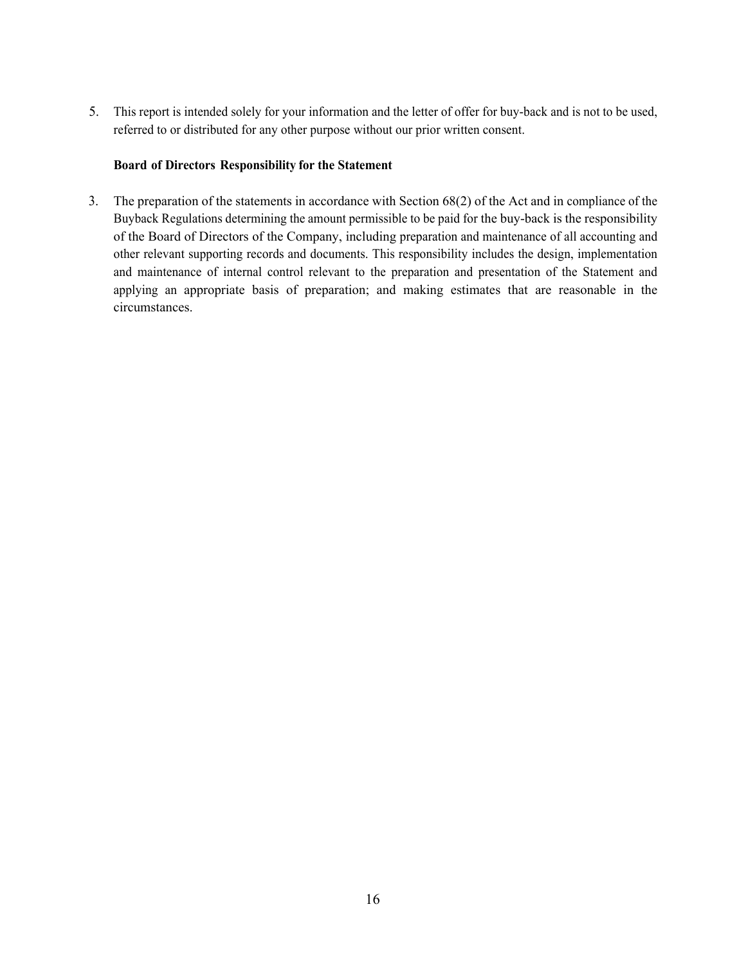5. This report is intended solely for your information and the letter of offer for buy-back and is not to be used, referred to or distributed for any other purpose without our prior written consent.

# **Board of Directors Responsibility for the Statement**

3. The preparation of the statements in accordance with Section 68(2) of the Act and in compliance of the Buyback Regulations determining the amount permissible to be paid for the buy-back is the responsibility of the Board of Directors of the Company, including preparation and maintenance of all accounting and other relevant supporting records and documents. This responsibility includes the design, implementation and maintenance of internal control relevant to the preparation and presentation of the Statement and applying an appropriate basis of preparation; and making estimates that are reasonable in the circumstances.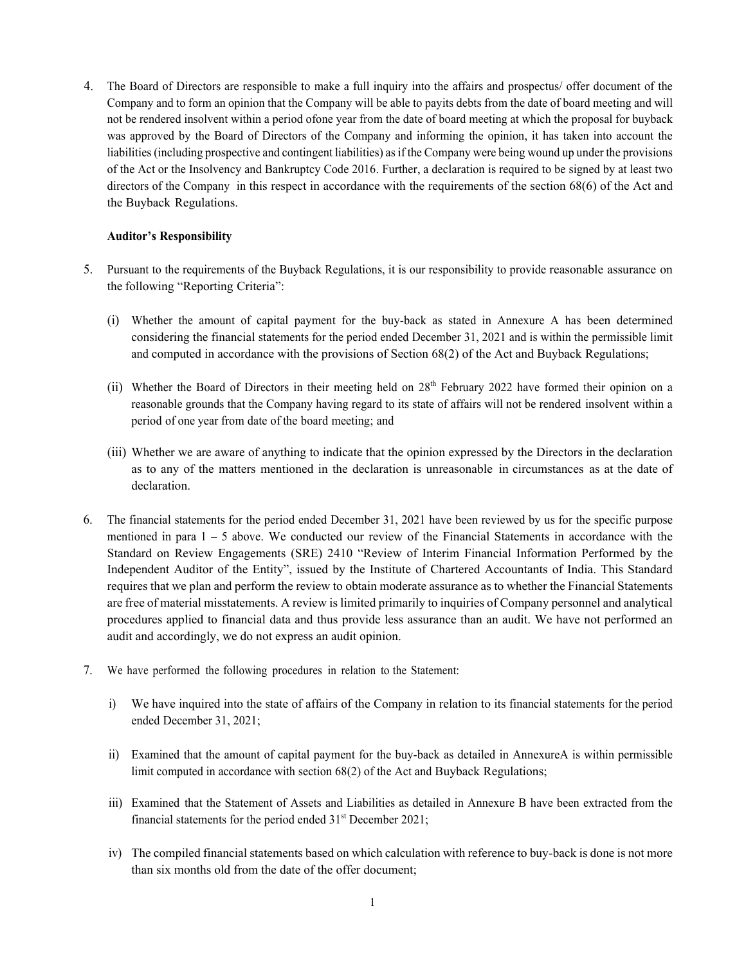4. The Board of Directors are responsible to make a full inquiry into the affairs and prospectus/ offer document of the Company and to form an opinion that the Company will be able to pay its debts from the date of board meeting and will not be rendered insolvent within a period of one year from the date of board meeting at which the proposal for buyback was approved by the Board of Directors of the Company and informing the opinion, it has taken into account the liabilities (including prospective and contingent liabilities) as if the Company were being wound up under the provisions of the Act or the Insolvency and Bankruptcy Code 2016. Further, a declaration is required to be signed by at least two directors of the Company in this respect in accordance with the requirements of the section 68(6) of the Act and the Buyback Regulations.

# **Auditor's Responsibility**

- 5. Pursuant to the requirements of the Buyback Regulations, it is our responsibility to provide reasonable assurance on the following "Reporting Criteria":
	- (i) Whether the amount of capital payment for the buy-back as stated in Annexure A has been determined considering the financial statements for the period ended December 31, 2021 and is within the permissible limit and computed in accordance with the provisions of Section 68(2) of the Act and Buyback Regulations;
	- (ii) Whether the Board of Directors in their meeting held on 28<sup>th</sup> February 2022 have formed their opinion on a reasonable grounds that the Company having regard to its state of affairs will not be rendered insolvent within a period of one year from date of the board meeting; and
	- (iii) Whether we are aware of anything to indicate that the opinion expressed by the Directors in the declaration as to any of the matters mentioned in the declaration is unreasonable in circumstances as at the date of declaration.
- 6. The financial statements for the period ended December 31, 2021 have been reviewed by us for the specific purpose mentioned in para  $1 - 5$  above. We conducted our review of the Financial Statements in accordance with the Standard on Review Engagements (SRE) 2410 "Review of Interim Financial Information Performed by the Independent Auditor of the Entity", issued by the Institute of Chartered Accountants of India. This Standard requires that we plan and perform the review to obtain moderate assurance as to whether the Financial Statements are free of material misstatements. A review is limited primarily to inquiries of Company personnel and analytical procedures applied to financial data and thus provide less assurance than an audit. We have not performed an audit and accordingly, we do not express an audit opinion.
- 7. We have performed the following procedures in relation to the Statement:
	- i) We have inquired into the state of affairs of the Company in relation to its financial statements for the period ended December 31, 2021;
	- ii) Examined that the amount of capital payment for the buy-back as detailed in AnnexureA is within permissible limit computed in accordance with section 68(2) of the Act and Buyback Regulations;
	- iii) Examined that the Statement of Assets and Liabilities as detailed in Annexure B have been extracted from the financial statements for the period ended  $31<sup>st</sup>$  December 2021;
	- iv) The compiled financial statements based on which calculation with reference to buy-back is done is not more than six months old from the date of the offer document;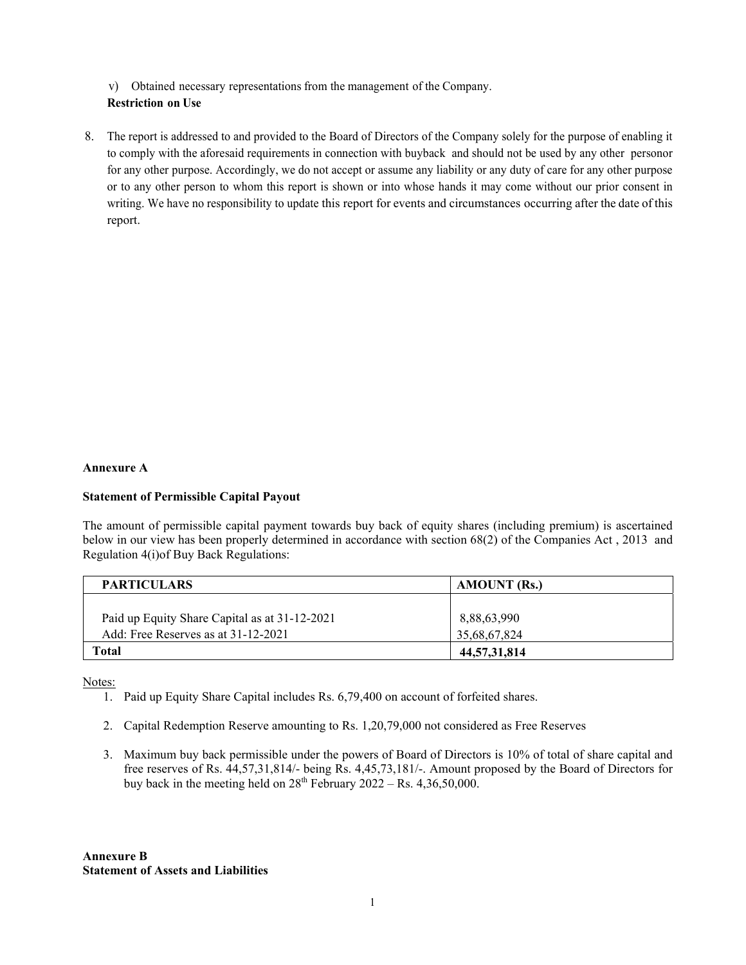v) Obtained necessary representations from the management of the Company. **Restriction on Use**

8. The report is addressed to and provided to the Board of Directors of the Company solely for the purpose of enabling it to comply with the aforesaid requirements in connection with buyback and should not be used by any other personor for any other purpose. Accordingly, we do not accept or assume any liability or any duty of care for any other purpose or to any other person to whom this report is shown or into whose hands it may come without our prior consent in writing. We have no responsibility to update this report for events and circumstances occurring after the date of this report.

### **Annexure A**

# **Statement of Permissible Capital Payout**

The amount of permissible capital payment towards buy back of equity shares (including premium) is ascertained below in our view has been properly determined in accordance with section 68(2) of the Companies Act , 2013 and Regulation 4(i)of Buy Back Regulations:

| <b>PARTICULARS</b>                            | <b>AMOUNT</b> (Rs.) |  |
|-----------------------------------------------|---------------------|--|
|                                               |                     |  |
| Paid up Equity Share Capital as at 31-12-2021 | 8,88,63,990         |  |
| Add: Free Reserves as at 31-12-2021           | 35,68,67,824        |  |
| Total                                         | 44,57,31,814        |  |

Notes:

- 1. Paid up Equity Share Capital includes Rs. 6,79,400 on account of forfeited shares.
- 2. Capital Redemption Reserve amounting to Rs. 1,20,79,000 not considered as Free Reserves
- 3. Maximum buy back permissible under the powers of Board of Directors is 10% of total of share capital and free reserves of Rs. 44,57,31,814/- being Rs. 4,45,73,181/-. Amount proposed by the Board of Directors for buy back in the meeting held on  $28<sup>th</sup>$  February 2022 – Rs. 4,36,50,000.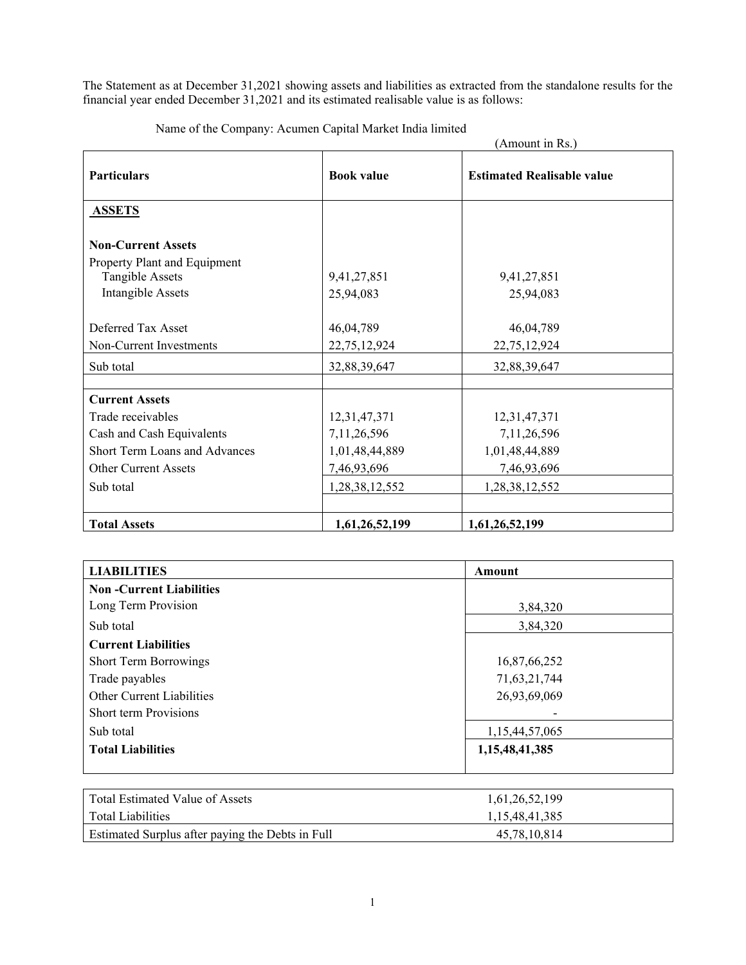The Statement as at December 31,2021 showing assets and liabilities as extracted from the standalone results for the financial year ended December 31,2021 and its estimated realisable value is as follows:

|                                                           |                   | (Amount in Rs.)                   |
|-----------------------------------------------------------|-------------------|-----------------------------------|
| <b>Particulars</b>                                        | <b>Book value</b> | <b>Estimated Realisable value</b> |
| <b>ASSETS</b>                                             |                   |                                   |
| <b>Non-Current Assets</b><br>Property Plant and Equipment |                   |                                   |
| Tangible Assets                                           | 9,41,27,851       | 9,41,27,851                       |
| <b>Intangible Assets</b>                                  | 25,94,083         | 25,94,083                         |
| Deferred Tax Asset                                        | 46,04,789         | 46,04,789                         |
| Non-Current Investments                                   | 22,75,12,924      | 22,75,12,924                      |
| Sub total                                                 | 32,88,39,647      | 32,88,39,647                      |
| <b>Current Assets</b>                                     |                   |                                   |
| Trade receivables                                         | 12,31,47,371      | 12,31,47,371                      |
| Cash and Cash Equivalents                                 | 7,11,26,596       | 7,11,26,596                       |
| Short Term Loans and Advances                             | 1,01,48,44,889    | 1,01,48,44,889                    |
| <b>Other Current Assets</b>                               | 7,46,93,696       | 7,46,93,696                       |
| Sub total                                                 | 1,28,38,12,552    | 1,28,38,12,552                    |
|                                                           |                   |                                   |
| <b>Total Assets</b>                                       | 1,61,26,52,199    | 1,61,26,52,199                    |

Name of the Company: Acumen Capital Market India limited

| <b>LIABILITIES</b>               | <b>Amount</b>  |
|----------------------------------|----------------|
| <b>Non-Current Liabilities</b>   |                |
| Long Term Provision              | 3,84,320       |
| Sub total                        | 3,84,320       |
| <b>Current Liabilities</b>       |                |
| <b>Short Term Borrowings</b>     | 16,87,66,252   |
| Trade payables                   | 71,63,21,744   |
| <b>Other Current Liabilities</b> | 26,93,69,069   |
| <b>Short term Provisions</b>     |                |
| Sub total                        | 1,15,44,57,065 |
| <b>Total Liabilities</b>         | 1,15,48,41,385 |
|                                  |                |
|                                  |                |

| Total Estimated Value of Assets                  | 1.61.26.52.199 |
|--------------------------------------------------|----------------|
| Total Liabilities                                | 1.15.48.41.385 |
| Estimated Surplus after paying the Debts in Full | 45,78,10,814   |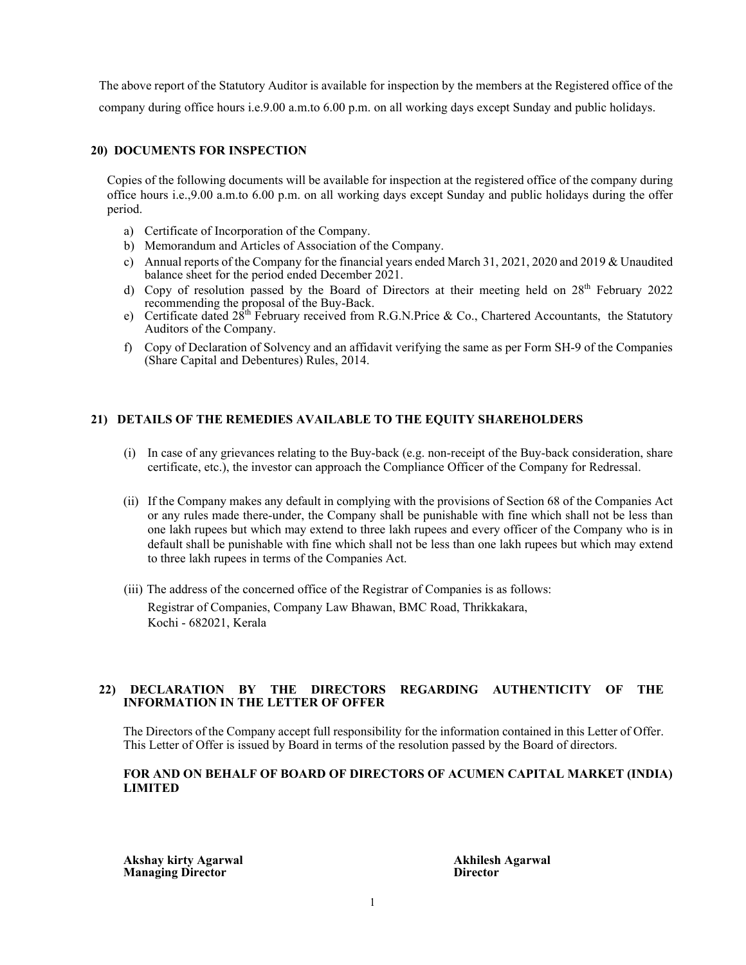The above report of the Statutory Auditor is available for inspection by the members at the Registered office of the company during office hours i.e.9.00 a.m.to 6.00 p.m. on all working days except Sunday and public holidays.

# **20) DOCUMENTS FOR INSPECTION**

Copies of the following documents will be available for inspection at the registered office of the company during office hours i.e.,9.00 a.m.to 6.00 p.m. on all working days except Sunday and public holidays during the offer period.

- a) Certificate of Incorporation of the Company.
- b) Memorandum and Articles of Association of the Company.
- c) Annual reports of the Company for the financial years ended March 31, 2021, 2020 and 2019 & Unaudited balance sheet for the period ended December 2021.
- d) Copy of resolution passed by the Board of Directors at their meeting held on 28<sup>th</sup> February 2022 recommending the proposal of the Buy-Back.
- e) Certificate dated  $28^{th}$  February received from R.G.N.Price & Co., Chartered Accountants, the Statutory Auditors of the Company.
- f) Copy of Declaration of Solvency and an affidavit verifying the same as per Form SH-9 of the Companies (Share Capital and Debentures) Rules, 2014.

# **21) DETAILS OF THE REMEDIES AVAILABLE TO THE EQUITY SHAREHOLDERS**

- (i) In case of any grievances relating to the Buy-back (e.g. non-receipt of the Buy-back consideration, share certificate, etc.), the investor can approach the Compliance Officer of the Company for Redressal.
- (ii) If the Company makes any default in complying with the provisions of Section 68 of the Companies Act or any rules made there-under, the Company shall be punishable with fine which shall not be less than one lakh rupees but which may extend to three lakh rupees and every officer of the Company who is in default shall be punishable with fine which shall not be less than one lakh rupees but which may extend to three lakh rupees in terms of the Companies Act.
- (iii) The address of the concerned office of the Registrar of Companies is as follows: Registrar of Companies, Company Law Bhawan, BMC Road, Thrikkakara, Kochi - 682021, Kerala

# **22) DECLARATION BY THE DIRECTORS REGARDING AUTHENTICITY OF THE INFORMATION IN THE LETTER OF OFFER**

The Directors of the Company accept full responsibility for the information contained in this Letter of Offer. This Letter of Offer is issued by Board in terms of the resolution passed by the Board of directors.

# **FOR AND ON BEHALF OF BOARD OF DIRECTORS OF ACUMEN CAPITAL MARKET (INDIA) LIMITED**

**Akshay kirty Agarwal Akhilesh Agarwal Managing Director**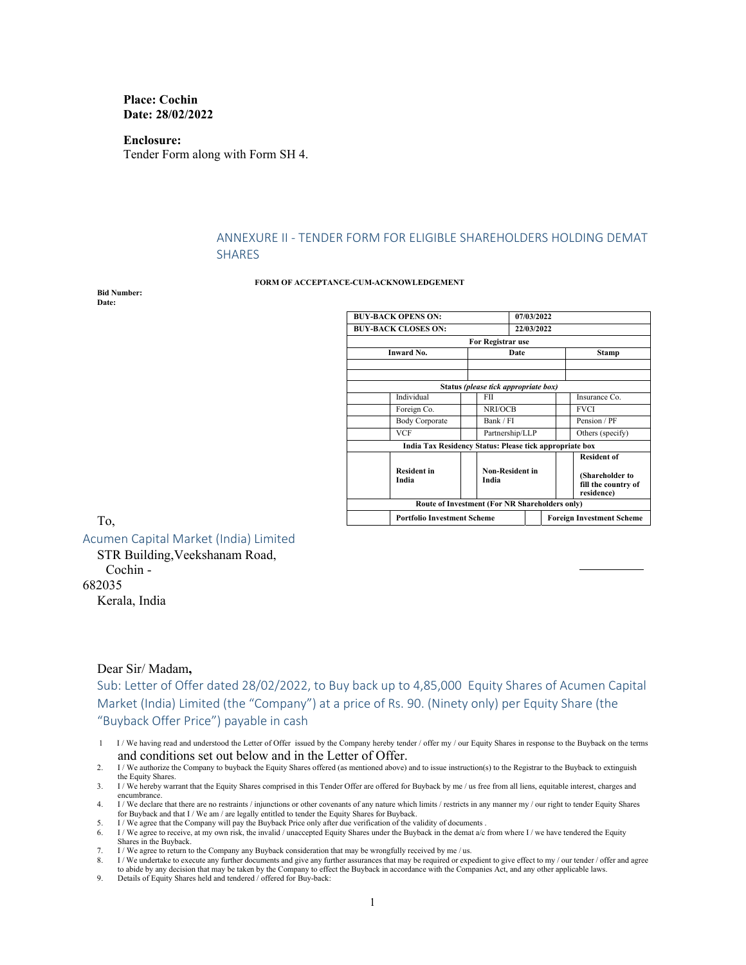**Place: Cochin Date: 28/02/2022** 

**Enclosure:**  Tender Form along with Form SH 4.

# ANNEXURE II ‐ TENDER FORM FOR ELIGIBLE SHAREHOLDERS HOLDING DEMAT SHARES

#### **FORM OF ACCEPTANCE-CUM-ACKNOWLEDGEMENT**

**Bid Number: Date:** 

| <b>BUY-BACK OPENS ON:</b>                               | 07/03/2022                                     |  |                                                      |
|---------------------------------------------------------|------------------------------------------------|--|------------------------------------------------------|
| <b>BUY-BACK CLOSES ON:</b>                              | 22/03/2022                                     |  |                                                      |
|                                                         | For Registrar use                              |  |                                                      |
| Inward No.                                              | Date                                           |  | Stamp                                                |
|                                                         |                                                |  |                                                      |
|                                                         | Status (please tick appropriate box)           |  |                                                      |
| Individual                                              | FII                                            |  | Insurance Co.                                        |
| Foreign Co.                                             | NRI/OCB                                        |  | <b>FVCI</b>                                          |
| <b>Body Corporate</b>                                   | Bank / FI                                      |  | Pension / PF                                         |
| VCF                                                     | Partnership/LLP                                |  | Others (specify)                                     |
| India Tax Residency Status: Please tick appropriate box |                                                |  |                                                      |
|                                                         |                                                |  | <b>Resident of</b>                                   |
| <b>Resident in</b><br>India                             | <b>Non-Resident in</b><br>India                |  | (Shareholder to<br>fill the country of<br>residence) |
|                                                         | Route of Investment (For NR Shareholders only) |  |                                                      |
| <b>Portfolio Investment Scheme</b>                      |                                                |  | <b>Foreign Investment Scheme</b>                     |

To,

Acumen Capital Market (India) Limited

STR Building,Veekshanam Road,

Cochin -

682035

Kerala, India

#### Dear Sir/ Madam**,**

Sub: Letter of Offer dated 28/02/2022, to Buy back up to 4,85,000 Equity Shares of Acumen Capital Market (India) Limited (the "Company") at a price of Rs. 90. (Ninety only) per Equity Share (the "Buyback Offer Price") payable in cash

- 1 I / We having read and understood the Letter of Offer issued by the Company hereby tender / offer my / our Equity Shares in response to the Buyback on the terms and conditions set out below and in the Letter of Offer.
- 2. I / We authorize the Company to buyback the Equity Shares offered (as mentioned above) and to issue instruction(s) to the Registrar to the Buyback to extinguish the Equity Shares.
- 3. I / We hereby warrant that the Equity Shares comprised in this Tender Offer are offered for Buyback by me / us free from all liens, equitable interest, charges and encumbrance.
- 4. I / We declare that there are no restraints / injunctions or other covenants of any nature which limits / restricts in any manner my / our right to tender Equity Shares for Buyback and that I / We am / are legally entitled to tender the Equity Shares for Buyback.
- I / We agree that the Company will pay the Buyback Price only after due verification of the validity of documents .
- 6. I / We agree to receive, at my own risk, the invalid / unaccepted Equity Shares under the Buyback in the demat a/c from where I / we have tendered the Equity Shares in the Buyback.
- 7. I / We agree to return to the Company any Buyback consideration that may be wrongfully received by me / us.
- 8. I / We undertake to execute any further documents and give any further assurances that may be required or expedient to give effect to my / our tender / offer and agree to abide by any decision that may be taken by the Company to effect the Buyback in accordance with the Companies Act, and any other applicable laws.
- 9. Details of Equity Shares held and tendered / offered for Buy-back: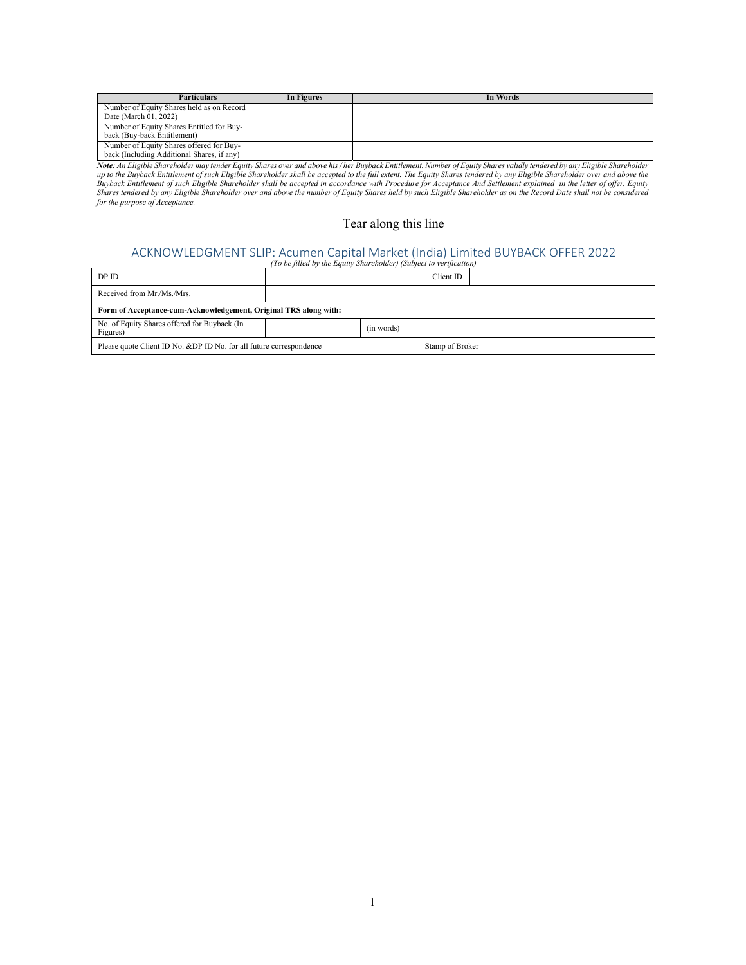| <b>Particulars</b>                                                                     | In Figures | In Words |
|----------------------------------------------------------------------------------------|------------|----------|
| Number of Equity Shares held as on Record<br>Date (March 01, 2022)                     |            |          |
| Number of Equity Shares Entitled for Buy-<br>back (Buy-back Entitlement)               |            |          |
| Number of Equity Shares offered for Buy-<br>back (Including Additional Shares, if any) |            |          |

N**ote**: An Eligible Shareholder may tender Equity Shares over and above his / her Buyback Entitlement. Number of Equity Shares validly tendered by any Eligible Shareholder<br>up to the Buyback Entitlement of such Eligible Sha *Shares tendered by any Eligible Shareholder over and above the number of Equity Shares held by such Eligible Shareholder as on the Record Date shall not be considered for the purpose of Acceptance.* 

Tear along this line

# ACKNOWLEDGMENT SLIP: Acumen Capital Market (India) Limited BUYBACK OFFER 2022 *(To be filled by the Equity Shareholder) (Subject to verification)*

| DP ID                                                                  |  |                 | Client ID |  |
|------------------------------------------------------------------------|--|-----------------|-----------|--|
| Received from Mr./Ms./Mrs.                                             |  |                 |           |  |
| Form of Acceptance-cum-Acknowledgement, Original TRS along with:       |  |                 |           |  |
| No. of Equity Shares offered for Buyback (In<br>(in words)<br>Figures) |  |                 |           |  |
| Please quote Client ID No. & DP ID No. for all future correspondence   |  | Stamp of Broker |           |  |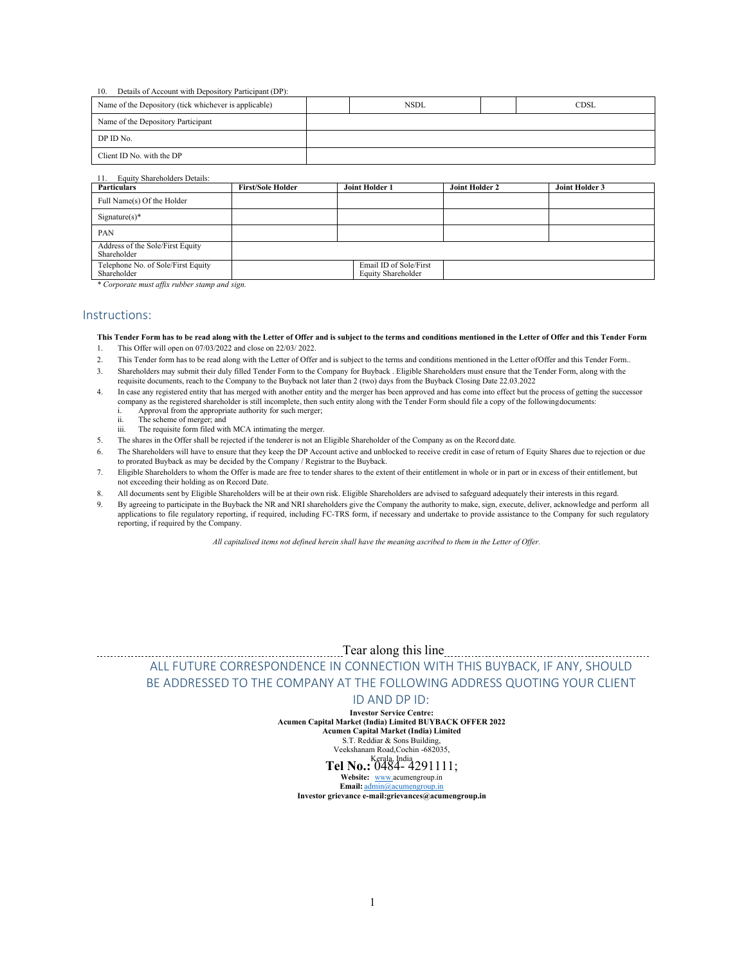#### 10. Details of Account with Depository Participant (DP):

| Name of the Depository (tick whichever is applicable) | <b>NSDL</b> | CDSL |
|-------------------------------------------------------|-------------|------|
| Name of the Depository Participant                    |             |      |
| DP ID No.                                             |             |      |
| Client ID No. with the DP                             |             |      |
|                                                       |             |      |

# 11. Equity Shareholders Details:

| <b>Particulars</b>                                | <b>First/Sole Holder</b> | Joint Holder 1                               | Joint Holder 2 | Joint Holder 3 |
|---------------------------------------------------|--------------------------|----------------------------------------------|----------------|----------------|
| Full Name(s) Of the Holder                        |                          |                                              |                |                |
| $Signature(s)*$                                   |                          |                                              |                |                |
| PAN                                               |                          |                                              |                |                |
| Address of the Sole/First Equity<br>Shareholder   |                          |                                              |                |                |
| Telephone No. of Sole/First Equity<br>Shareholder |                          | Email ID of Sole/First<br>Equity Shareholder |                |                |

*\* Corporate must affix rubber stamp and sign.* 

### Instructions:

**This Tender Form has to be read along with the Letter of Offer and is subject to the terms and conditions mentioned in the Letter of Offer and this Tender Form** 

- 1. This Offer will open on 07/03/2022 and close on 22/03/ 2022.
- 2. This Tender form has to be read along with the Letter of Offer and is subject to the terms and conditions mentioned in the Letter of Offer and this Tender Form..
- 3. Shareholders may submit their duly filled Tender Form to the Company for Buyback . Eligible Shareholders must ensure that the Tender Form, along with the requisite documents, reach to the Company to the Buyback not later than 2 (two) days from the Buyback Closing Date 22.03.2022
- 4. In case any registered entity that has merged with another entity and the merger has been approved and has come into effect but the process of getting the successor company as the registered shareholder is still incomplete, then such entity along with the Tender Form should file a copy of the following documents:
	- i. Approval from the appropriate authority for such merger;<br>ii. The scheme of merger: and
	- The scheme of merger; and
	- iii. The requisite form filed with MCA intimating the merger.
- 5. The shares in the Offer shall be rejected if the tenderer is not an Eligible Shareholder of the Company as on the Record date.
- 6. The Shareholders will have to ensure that they keep the DP Account active and unblocked to receive credit in case of return of Equity Shares due to rejection or due to prorated Buyback as may be decided by the Company / Registrar to the Buyback.
- 7. Eligible Shareholders to whom the Offer is made are free to tender shares to the extent of their entitlement in whole or in part or in excess of their entitlement, but not exceeding their holding as on Record Date.
- 8. All documents sent by Eligible Shareholders will be at their own risk. Eligible Shareholders are advised to safeguard adequately their interests in this regard.
- 9. By agreeing to participate in the Buyback the NR and NRI shareholders give the Company the authority to make, sign, execute, deliver, acknowledge and perform all applications to file regulatory reporting, if required, including FC-TRS form, if necessary and undertake to provide assistance to the Company for such regulatory reporting, if required by the Company.

*All capitalised items not defined herein shall have the meaning ascribed to them in the Letter of Offer.* 

 Tear along this line ALL FUTURE CORRESPONDENCE IN CONNECTION WITH THIS BUYBACK, IF ANY, SHOULD BE ADDRESSED TO THE COMPANY AT THE FOLLOWING ADDRESS QUOTING YOUR CLIENT

# ID AND DP ID:

**Investor Service Centre: Acumen Capital Market (India) Limited BUYBACK OFFER 2022** 

**Acumen Capital Market (India) Limited**  S.T. Reddiar & Sons Building,

Veekshanam Road,Cochin -682035,

# Kerala, India **Tel No.:** 0484- 4291111;

**Website:** www.acumengroup.in **Email:** admin@acumengroup.in

**Investor grievance e-mail:grievances@acumengroup.in**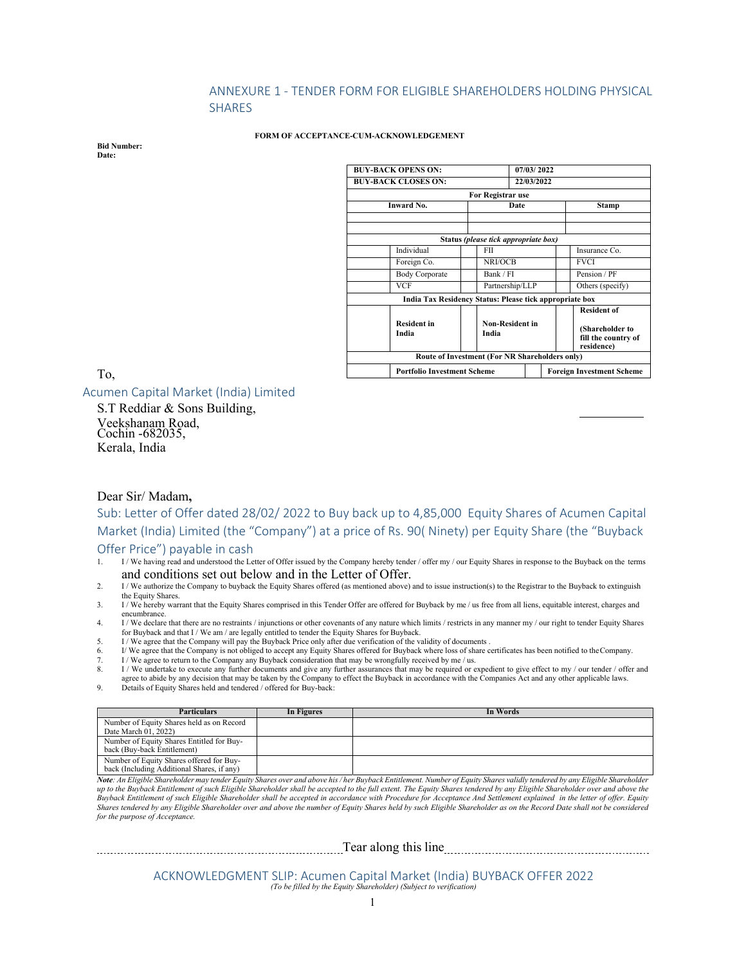# ANNEXURE 1 ‐ TENDER FORM FOR ELIGIBLE SHAREHOLDERS HOLDING PHYSICAL SHARES

#### **FORM OF ACCEPTANCE-CUM-ACKNOWLEDGEMENT**

**Bid Number: Date:** 

| <b>BUY-BACK OPENS ON:</b>                               |                                                | 07/03/2022      |  |                                                      |
|---------------------------------------------------------|------------------------------------------------|-----------------|--|------------------------------------------------------|
| <b>BUY-BACK CLOSES ON:</b>                              | 22/03/2022                                     |                 |  |                                                      |
|                                                         | For Registrar use                              |                 |  |                                                      |
| Inward No.                                              | Date                                           |                 |  | <b>Stamp</b>                                         |
|                                                         |                                                |                 |  |                                                      |
|                                                         |                                                |                 |  |                                                      |
|                                                         | Status (please tick appropriate box)           |                 |  |                                                      |
| Individual                                              | FII                                            |                 |  | Insurance Co.                                        |
| Foreign Co.                                             | NRI/OCB                                        |                 |  | <b>FVCI</b>                                          |
| <b>Body Corporate</b>                                   | Bank / FI                                      |                 |  | Pension / PF                                         |
| VCF                                                     |                                                | Partnership/LLP |  | Others (specify)                                     |
| India Tax Residency Status: Please tick appropriate box |                                                |                 |  |                                                      |
|                                                         |                                                |                 |  | <b>Resident of</b>                                   |
| <b>Resident in</b><br>India                             | <b>Non-Resident in</b><br>India                |                 |  | (Shareholder to<br>fill the country of<br>residence) |
|                                                         | Route of Investment (For NR Shareholders only) |                 |  |                                                      |
| <b>Portfolio Investment Scheme</b>                      |                                                |                 |  | <b>Foreign Investment Scheme</b>                     |

To,

Acumen Capital Market (India) Limited

S.T Reddiar & Sons Building, Veekshanam Road, Cochin -682035, Kerala, India

# Dear Sir/ Madam**,**

Sub: Letter of Offer dated 28/02/ 2022 to Buy back up to 4,85,000 Equity Shares of Acumen Capital Market (India) Limited (the "Company") at a price of Rs. 90( Ninety) per Equity Share (the "Buyback Offer Price") payable in cash<br>1. I/We having read and understood the Le

- 1/ We having read and understood the Letter of Offer issued by the Company hereby tender / offer my / our Equity Shares in response to the Buyback on the terms and conditions set out below and in the Letter of Offer.
- 2. I/We authorize the Company to buyback the Equity Shares offered (as mentioned above) and to issue instruction(s) to the Registrar to the Buyback to extinguish the Equity Shares.
- 3. I / We hereby warrant that the Equity Shares comprised in this Tender Offer are offered for Buyback by me / us free from all liens, equitable interest, charges and encumbrance.

4. I / We declare that there are no restraints / injunctions or other covenants of any nature which limits / restricts in any manner my / our right to tender Equity Shares for Buyback and that I / We am / are legally entitled to tender the Equity Shares for Buyback. 5. I / We agree that the Company will pay the Buyback Price only after due verification of the validity of documents .

- 
- 6. I/ We agree that the Company is not obliged to accept any Equity Shares offered for Buyback where loss of share certificates has been notified to the Company.
- 7. I/ We agree to return to the Company any Buyback consideration that may be wrongfully received by me / us.<br>8. I/ We undertake to execute any further documents and give any further assurances that may be required or e 1/ We undertake to execute any further documents and give any further assurances that may be required or expedient to give effect to my / our tender / offer and 1/ We undertake to execute any further documents and give any
- agree to abide by any decision that may be taken by the Company to effect the Buyback in accordance with the Companies Act and any other applicable laws.<br>9. Details of Equity Shares held and tendered / offered for Buy-back

| <b>Particulars</b>                                                                     | In Figures | In Words |
|----------------------------------------------------------------------------------------|------------|----------|
| Number of Equity Shares held as on Record<br>Date March 01, 2022)                      |            |          |
| Number of Equity Shares Entitled for Buy-<br>back (Buy-back Entitlement)               |            |          |
| Number of Equity Shares offered for Buy-<br>back (Including Additional Shares, if any) |            |          |

*Note: An Eligible Shareholder may tender Equity Shares over and above his / her Buyback Entitlement. Number of Equity Shares validly tendered by any Eligible Shareholder up to the Buyback Entitlement of such Eligible Shareholder shall be accepted to the full extent. The Equity Shares tendered by any Eligible Shareholder over and above the Buyback Entitlement of such Eligible Shareholder shall be accepted in accordance with Procedure for Acceptance And Settlement explained in the letter of offer. Equity Shares tendered by any Eligible Shareholder over and above the number of Equity Shares held by such Eligible Shareholder as on the Record Date shall not be considered for the purpose of Acceptance.* 

Tear along this line

ACKNOWLEDGMENT SLIP: Acumen Capital Market (India) BUYBACK OFFER 2022 *(To be filled by the Equity Shareholder) (Subject to verification)*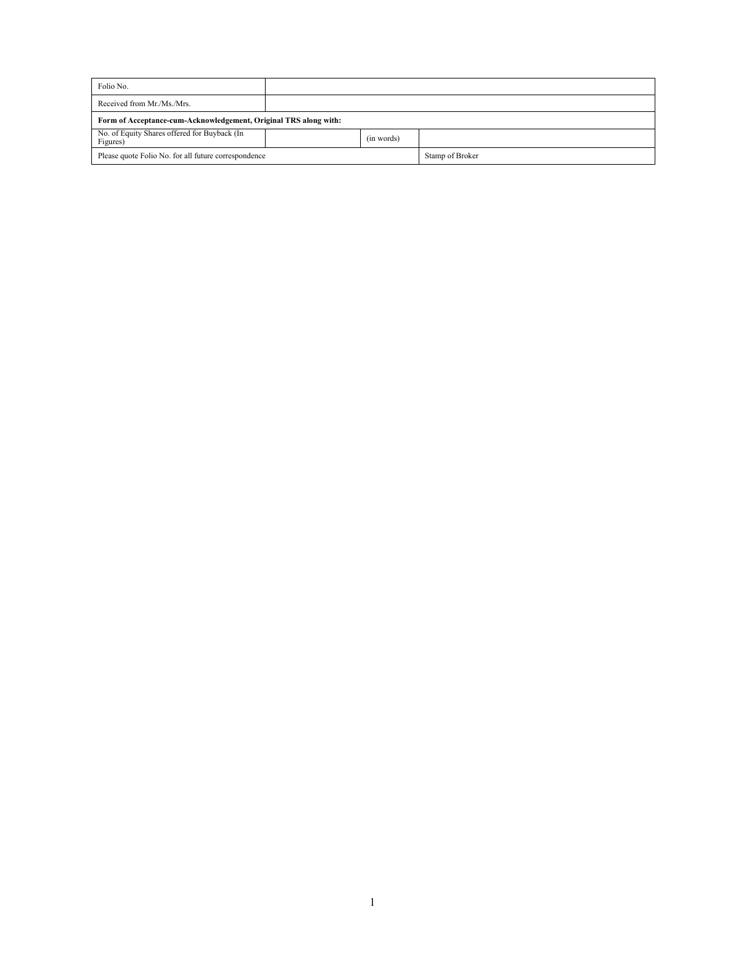| Folio No.                                                              |  |  |                 |  |
|------------------------------------------------------------------------|--|--|-----------------|--|
| Received from Mr./Ms./Mrs.                                             |  |  |                 |  |
| Form of Acceptance-cum-Acknowledgement, Original TRS along with:       |  |  |                 |  |
| No. of Equity Shares offered for Buyback (In<br>(in words)<br>Figures) |  |  |                 |  |
| Please quote Folio No. for all future correspondence                   |  |  | Stamp of Broker |  |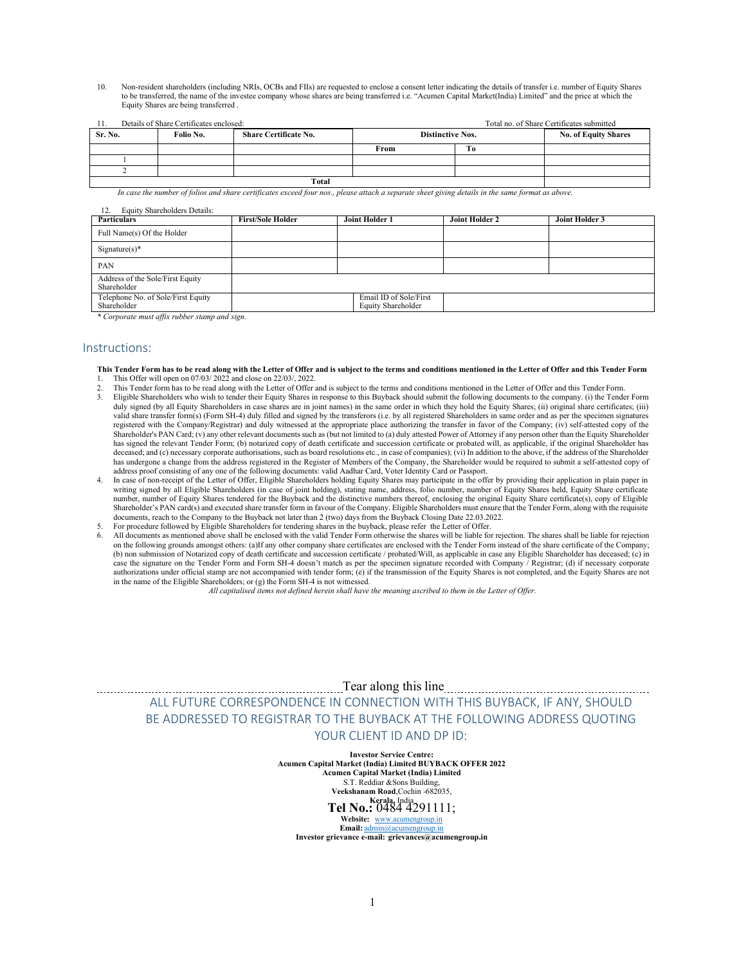10. Non-resident shareholders (including NRIs, OCBs and FIIs) are requested to enclose a consent letter indicating the details of transfer i.e. number of Equity Shares to be transferred, the name of the investee company whose shares are being transferred i.e. "Acumen Capital Market(India) Limited" and the price at which the Equity Shares are being transferred .

| 11.     | Details of Share Certificates enclosed: |                              |                         |    | Total no. of Share Certificates submitted |
|---------|-----------------------------------------|------------------------------|-------------------------|----|-------------------------------------------|
| Sr. No. | Folio No.                               | <b>Share Certificate No.</b> | <b>Distinctive Nos.</b> |    | <b>No. of Equity Shares</b>               |
|         |                                         |                              | From                    | Tо |                                           |
|         |                                         |                              |                         |    |                                           |
|         |                                         |                              |                         |    |                                           |
|         |                                         | Total                        |                         |    |                                           |

*In case the number of folios and share certificates exceed four nos., please attach a separate sheet giving details in the same format as above.* 

| Equity Shareholders Details:<br>12.               |                          |                                              |                       |                |
|---------------------------------------------------|--------------------------|----------------------------------------------|-----------------------|----------------|
| <b>Particulars</b>                                | <b>First/Sole Holder</b> | Joint Holder 1                               | <b>Joint Holder 2</b> | Joint Holder 3 |
| Full Name(s) Of the Holder                        |                          |                                              |                       |                |
| $Signature(s)*$                                   |                          |                                              |                       |                |
| PAN                                               |                          |                                              |                       |                |
| Address of the Sole/First Equity<br>Shareholder   |                          |                                              |                       |                |
| Telephone No. of Sole/First Equity<br>Shareholder |                          | Email ID of Sole/First<br>Equity Shareholder |                       |                |

*\* Corporate must affix rubber stamp and sign.* 

#### Instructions:

- **This Tender Form has to be read along with the Letter of Offer and is subject to the terms and conditions mentioned in the Letter of Offer and this Tender Form**
- 1. This Offer will open on 07/03/ 2022 and close on 22/03/, 2022.
- 2. This Tender form has to be read along with the Letter of Offer and is subject to the terms and conditions mentioned in the Letter of Offer and this Tender Form. 3. Eligible Shareholders who wish to tender their Equity Shares in response to this Buyback should submit the following documents to the company. (i) the Tender Form duly signed (by all Equity Shareholders in case shares are in joint names) in the same order in which they hold the Equity Shares; (ii) original share certificates; (iii) valid share transfer form(s) (Form SH-4) duly filled and signed by the transferors (i.e. by all registered Shareholders in same order and as per the specimen signatures registered with the Company/Registrar) and duly witnessed at the appropriate place authorizing the transfer in favor of the Company; (iv) self-attested copy of the Shareholder's PAN Card; (v) any other relevant documents such as (but not limited to (a) duly attested Power of Attorney if any person other than the Equity Shareholder has signed the relevant Tender Form; (b) notarized copy of death certificate and succession certificate or probated will, as applicable, if the original Shareholder has deceased; and (c) necessary corporate authorisations, such as board resolutions etc., in case of companies); (vi) In addition to the above, if the address of the Shareholder has undergone a change from the address registered in the Register of Members of the Company, the Shareholder would be required to submit a self-attested copy of address proof consisting of any one of the following documents: valid Aadhar Card, Voter Identity Card or Passport.
- In case of non-receipt of the Letter of Offer, Eligible Shareholders holding Equity Shares may participate in the offer by providing their application in plain paper in writing signed by all Eligible Shareholders (in case of joint holding), stating name, address, folio number, number of Equity Shares held, Equity Share certificate number, number of Equity Shares tendered for the Buyback and the distinctive numbers thereof, enclosing the original Equity Share certificate(s), copy of Eligible Shareholder's PAN card(s) and executed share transfer form in favour of the Company. Eligible Shareholders must ensure that the Tender Form, along with the requisite documents, reach to the Company to the Buyback not later than 2 (two) days from the Buyback Closing Date 22.03.2022.
- 5. For procedure followed by Eligible Shareholders for tendering shares in the buyback, please refer the Letter of Offer.
- 6. All documents as mentioned above shall be enclosed with the valid Tender Form otherwise the shares will be liable for rejection. The shares shall be liable for rejection on the following grounds amongst others: (a)If any other company share certificates are enclosed with the Tender Form instead of the share certificate of the Company; (b) non submission of Notarized copy of death certificate and succession certificate / probated/Will, as applicable in case any Eligible Shareholder has deceased; (c) in case the signature on the Tender Form and Form SH-4 doesn't match as per the specimen signature recorded with Company  $\bar{\sqrt{}}$  Registrar; (d) if necessary corporate authorizations under official stamp are not accompanied with tender form; (e) if the transmission of the Equity Shares is not completed, and the Equity Shares are not in the name of the Eligible Shareholders; or (g) the Form SH-4 is not witnessed.

*All capitalised items not defined herein shall have the meaning ascribed to them in the Letter of Offer.* 

 Tear along this line ALL FUTURE CORRESPONDENCE IN CONNECTION WITH THIS BUYBACK, IF ANY, SHOULD BE ADDRESSED TO REGISTRAR TO THE BUYBACK AT THE FOLLOWING ADDRESS QUOTING YOUR CLIENT ID AND DP ID:

> **Investor Service Centre: Acumen Capital Market (India) Limited BUYBACK OFFER 2022 Acumen Capital Market (India) Limited**  S.T. Reddiar &Sons Building, **Veekshanam Road**,Cochin -682035, **Kerala,** India **Tel No.:** 0484 4291111; **Website:** www.acumengroup.in **Email:** admin@acumengroup.in

**Investor grievance e-mail: grievances@acumengroup.in**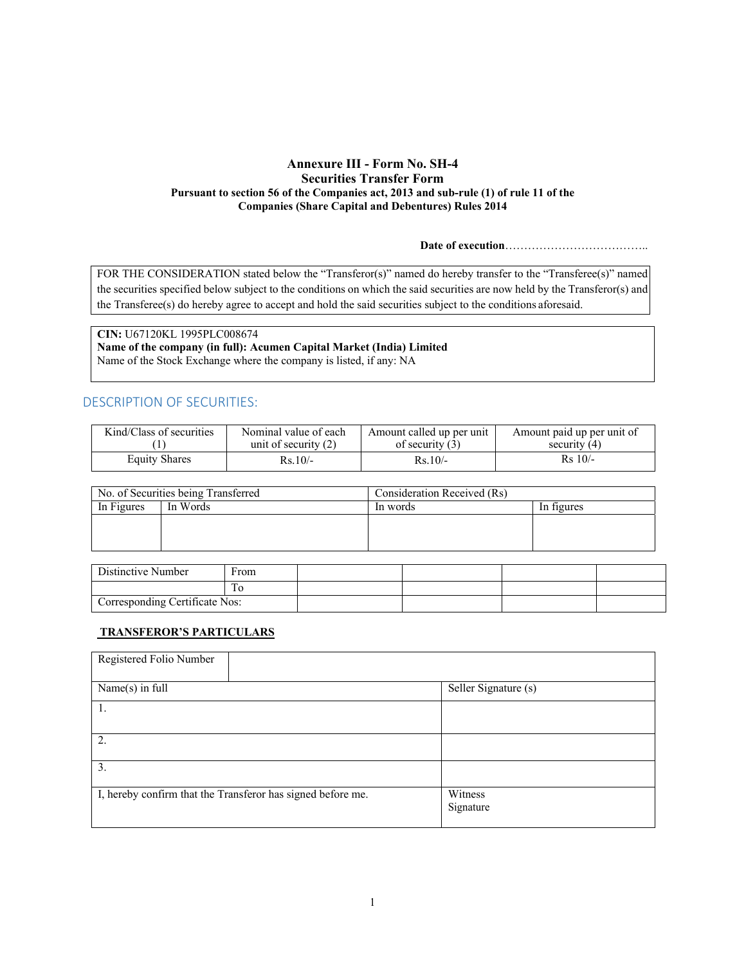# **Annexure III - Form No. SH-4 Securities Transfer Form Pursuant to section 56 of the Companies act, 2013 and sub-rule (1) of rule 11 of the Companies (Share Capital and Debentures) Rules 2014**

**Date of execution**………………………………..

FOR THE CONSIDERATION stated below the "Transferor(s)" named do hereby transfer to the "Transferee(s)" named the securities specified below subject to the conditions on which the said securities are now held by the Transferor(s) and the Transferee(s) do hereby agree to accept and hold the said securities subject to the conditions aforesaid.

**CIN:** U67120KL 1995PLC008674 **Name of the company (in full): Acumen Capital Market (India) Limited**  Name of the Stock Exchange where the company is listed, if any: NA

# DESCRIPTION OF SECURITIES:

| Kind/Class of securities | Nominal value of each  | Amount called up per unit | Amount paid up per unit of |
|--------------------------|------------------------|---------------------------|----------------------------|
|                          | unit of security $(2)$ | of security $(3)$         | security $(4)$             |
| <b>Equity Shares</b>     | $Rs.10/-$              | $Rs.10/-$                 | $Rs$ 10/-                  |

| No. of Securities being Transferred | Consideration Received (Rs) |            |
|-------------------------------------|-----------------------------|------------|
| In Figures<br>In Words              | In words                    | In figures |
|                                     |                             |            |
|                                     |                             |            |

| Distinctive Number             | ∽rom |  |  |
|--------------------------------|------|--|--|
|                                |      |  |  |
| Corresponding Certificate Nos: |      |  |  |

# **TRANSFEROR'S PARTICULARS**

| Registered Folio Number                                     |                      |
|-------------------------------------------------------------|----------------------|
| Name(s) in full                                             | Seller Signature (s) |
|                                                             |                      |
| 2.                                                          |                      |
| 3.                                                          |                      |
|                                                             |                      |
| I, hereby confirm that the Transferor has signed before me. | Witness<br>Signature |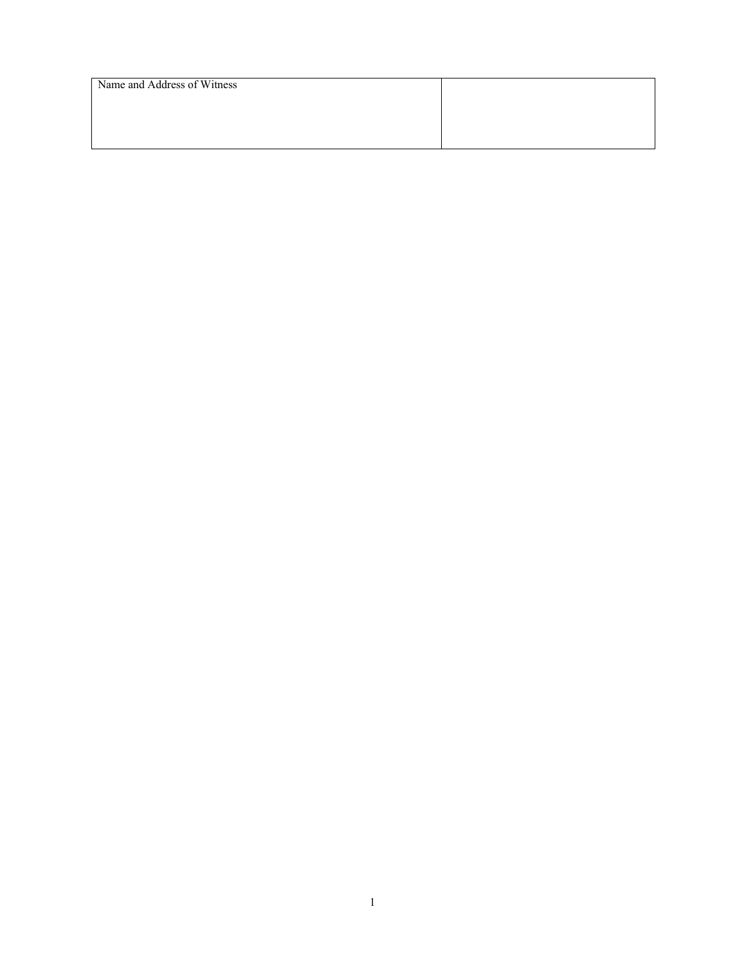| Name and Address of Witness |  |  |
|-----------------------------|--|--|
|                             |  |  |
|                             |  |  |
|                             |  |  |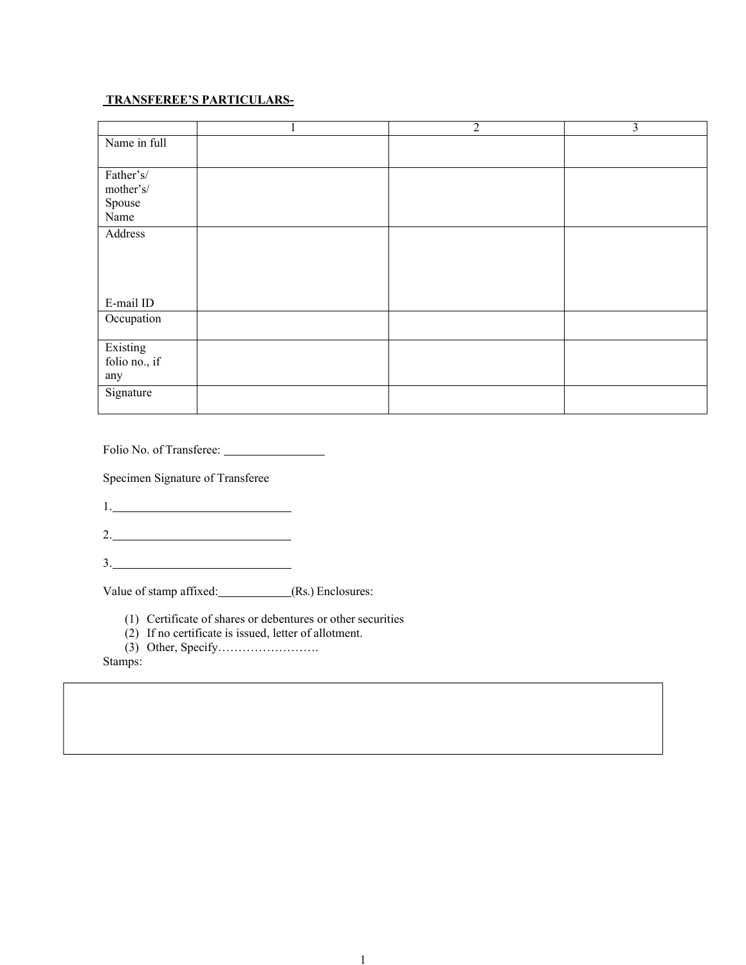# **TRANSFEREE'S PARTICULARS-**

|                                          | $\mathbf{I}$ | $\overline{2}$ | $\overline{3}$ |
|------------------------------------------|--------------|----------------|----------------|
| Name in full                             |              |                |                |
| Father's/<br>mother's/<br>Spouse<br>Name |              |                |                |
| Address<br>E-mail ID                     |              |                |                |
| Occupation                               |              |                |                |
| Existing<br>folio no., if<br>any         |              |                |                |
| Signature                                |              |                |                |

Folio No. of Transferee:

Specimen Signature of Transferee

1.

2.

3.

Value of stamp affixed: (Rs.) Enclosures:

(1) Certificate of shares or debentures or other securities

- (2) If no certificate is issued, letter of allotment.
- (3) Other, Specify…………………….

Stamps: